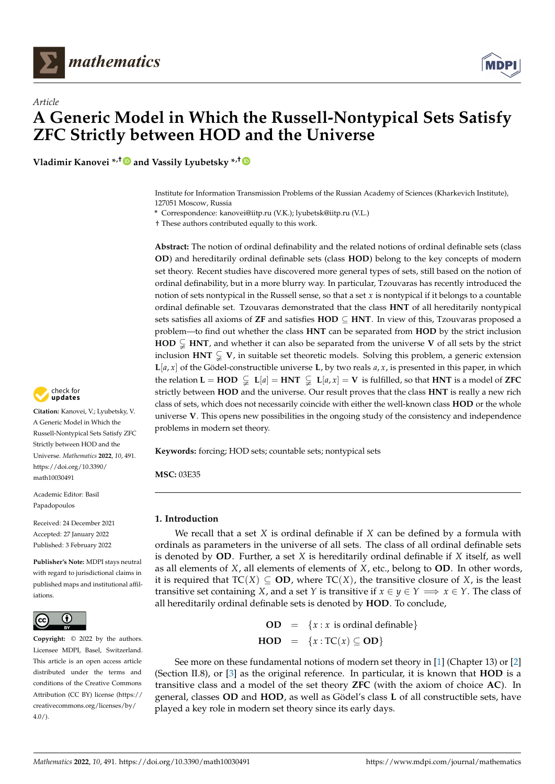<span id="page-0-1"></span>

# *Article* **A Generic Model in Which the Russell-Nontypical Sets Satisfy ZFC Strictly between HOD and the Universe**

**Vladimir Kanovei \*,† and Vassily Lyubetsky \*,†**

Institute for Information Transmission Problems of the Russian Academy of Sciences (Kharkevich Institute), 127051 Moscow, Russia

**\*** Correspondence: kanovei@iitp.ru (V.K.); lyubetsk@iitp.ru (V.L.)

† These authors contributed equally to this work.

**Abstract:** The notion of ordinal definability and the related notions of ordinal definable sets (class **OD**) and hereditarily ordinal definable sets (class **HOD**) belong to the key concepts of modern set theory. Recent studies have discovered more general types of sets, still based on the notion of ordinal definability, but in a more blurry way. In particular, Tzouvaras has recently introduced the notion of sets nontypical in the Russell sense, so that a set  $x$  is nontypical if it belongs to a countable ordinal definable set. Tzouvaras demonstrated that the class **HNT** of all hereditarily nontypical sets satisfies all axioms of **ZF** and satisfies **HOD** ⊆ **HNT**. In view of this, Tzouvaras proposed a problem—to find out whether the class **HNT** can be separated from **HOD** by the strict inclusion **HOD**  $\subsetneq$  **HNT**, and whether it can also be separated from the universe **V** of all sets by the strict inclusion  $HNT \subsetneq V$ , in suitable set theoretic models. Solving this problem, a generic extension  $L[a, x]$  of the Gödel-constructible universe L, by two reals  $a, x$ , is presented in this paper, in which the relation  $\mathbf{L} = \mathbf{HOD} \subsetneq \mathbf{L}[a] = \mathbf{HNT} \subsetneq \mathbf{L}[a, x] = \mathbf{V}$  is fulfilled, so that  $\mathbf{HNT}$  is a model of **ZFC** strictly between **HOD** and the universe. Our result proves that the class **HNT** is really a new rich class of sets, which does not necessarily coincide with either the well-known class **HOD** or the whole universe **V**. This opens new possibilities in the ongoing study of the consistency and independence problems in modern set theory.

**Keywords:** forcing; HOD sets; countable sets; nontypical sets

**MSC:** 03E35

## <span id="page-0-2"></span>**1. Introduction**

We recall that a set *X* is ordinal definable if *X* can be defined by a formula with ordinals as parameters in the universe of all sets. The class of all ordinal definable sets is denoted by **OD**. Further, a set *X* is hereditarily ordinal definable if *X* itself, as well as all elements of *X*, all elements of elements of *X*, etc., belong to **OD**. In other words, it is required that  $TC(X) \subseteq OD$ , where  $TC(X)$ , the transitive closure of *X*, is the least transitive set containing *X*, and a set *Y* is transitive if  $x \in \gamma \in \gamma \implies x \in \gamma$ . The class of all hereditarily ordinal definable sets is denoted by **HOD**. To conclude,

> <span id="page-0-0"></span>**OD** =  $\{x : x \text{ is ordinal definable}\}\$ **HOD** = {*x* :  $TC(x)$  ⊂ **OD**}

See more on these fundamental notions of modern set theory in [\[1\]](#page-14-0) (Chapter 13) or [\[2\]](#page-14-1) (Section II.8), or [\[3\]](#page-14-2) as the original reference. In particular, it is known that **HOD** is a transitive class and a model of the set theory **ZFC** (with the axiom of choice **AC**). In general, classes **OD** and **HOD**, as well as Gödel's class **L** of all constructible sets, have played a key role in modern set theory since its early days.



**Citation:** Kanovei, V.; Lyubetsky, V. A Generic Model in Which the Russell-Nontypical Sets Satisfy ZFC Strictly between HOD and the Universe. *Mathematics* **2022**, *10*, 491. [https://doi.org/10.3390/](https://doi.org/10.3390/math10030491) [math10030491](https://doi.org/10.3390/math10030491)

Academic Editor: Basil Papadopoulos

Received: 24 December 2021 Accepted: 27 January 2022 Published: 3 February 2022

**Publisher's Note:** MDPI stays neutral with regard to jurisdictional claims in published maps and institutional affiliations.



**Copyright:** © 2022 by the authors. Licensee MDPI, Basel, Switzerland. This article is an open access article distributed under the terms and conditions of the Creative Commons Attribution (CC BY) license [\(https://](https://creativecommons.org/licenses/by/4.0/) [creativecommons.org/licenses/by/](https://creativecommons.org/licenses/by/4.0/)  $4.0/$ ).

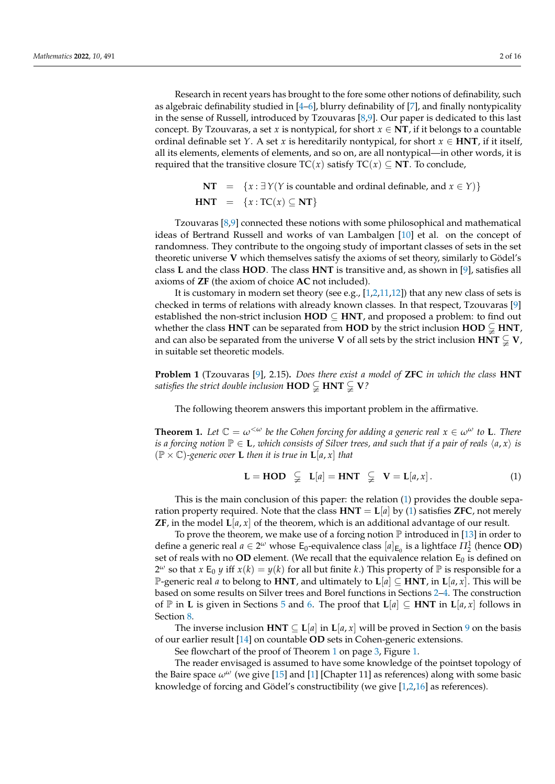Research in recent years has brought to the fore some other notions of definability, such as algebraic definability studied in [\[4–](#page-14-3)[6\]](#page-14-4), blurry definability of [\[7\]](#page-14-5), and finally nontypicality in the sense of Russell, introduced by Tzouvaras [\[8,](#page-14-6)[9\]](#page-14-7). Our paper is dedicated to this last concept. By Tzouvaras, a set *x* is nontypical, for short  $x \in NT$ , if it belongs to a countable ordinal definable set *Y*. A set *x* is hereditarily nontypical, for short  $x \in HNT$ , if it itself, all its elements, elements of elements, and so on, are all nontypical—in other words, it is required that the transitive closure  $TC(x)$  satisfy  $TC(x) \subseteq NT$ . To conclude,

> **NT** =  $\{x : \exists Y(Y \text{ is countable and ordinal definable, and } x \in Y)\}\$ **HNT** =  $\{x : \text{TC}(x) \subseteq \textbf{NT}\}\$

Tzouvaras [\[8](#page-14-6)[,9\]](#page-14-7) connected these notions with some philosophical and mathematical ideas of Bertrand Russell and works of van Lambalgen [\[10\]](#page-14-8) et al. on the concept of randomness. They contribute to the ongoing study of important classes of sets in the set theoretic universe **V** which themselves satisfy the axioms of set theory, similarly to Gödel's class **L** and the class **HOD**. The class **HNT** is transitive and, as shown in [\[9\]](#page-14-7), satisfies all axioms of **ZF** (the axiom of choice **AC** not included).

It is customary in modern set theory (see e.g.,  $[1,2,11,12]$  $[1,2,11,12]$  $[1,2,11,12]$  $[1,2,11,12]$ ) that any new class of sets is checked in terms of relations with already known classes. In that respect, Tzouvaras [\[9\]](#page-14-7) established the non-strict inclusion  $HOD \subseteq HNT$ , and proposed a problem: to find out whether the class **HNT** can be separated from **HOD** by the strict inclusion **HOD**  $\subsetneq$  **HNT**, and can also be separated from the universe **V** of all sets by the strict inclusion **HNT**  $\subsetneq$  **V**, in suitable set theoretic models.

<span id="page-1-1"></span>**Problem 1** (Tzouvaras [\[9\]](#page-14-7), 2.15)**.** *Does there exist a model of* **ZFC** *in which the class* **HNT** *satisfies the strict double inclusion*  $\text{HOD} \subsetneq \text{HNT} \subsetneq \text{V}$ ?

The following theorem answers this important problem in the affirmative.

<span id="page-1-0"></span>**Theorem 1.** Let  $\mathbb{C} = \omega^{\lt \omega}$  be the Cohen forcing for adding a generic real  $x \in \omega^{\omega}$  to **L**. There *is a forcing notion*  $\mathbb{P} \in \mathbf{L}$ *, which consists of Silver trees, and such that if a pair of reals*  $\langle a, x \rangle$  *is*  $(\mathbb{P} \times \mathbb{C})$ -generic over **L** then it is true in **L**[*a*, *x*] that

$$
\mathbf{L} = \mathbf{HOD} \quad \subsetneq \quad \mathbf{L}[a] = \mathbf{HNT} \quad \subsetneq \quad \mathbf{V} = \mathbf{L}[a, x]. \tag{1}
$$

This is the main conclusion of this paper: the relation [\(1\)](#page-0-0) provides the double separation property required. Note that the class  $HNT = L|a|$  by [\(1\)](#page-0-0) satisfies **ZFC**, not merely **ZF**, in the model  $\mathbf{L}[a, x]$  of the theorem, which is an additional advantage of our result.

To prove the theorem, we make use of a forcing notion  $\mathbb P$  introduced in [\[13\]](#page-14-11) in order to define a generic real  $a \in 2^{\omega}$  whose  $E_0$ -equivalence class  $[a]_{E_0}$  is a lightface  $\Pi_2^1$  (hence **OD**) set of reals with no **OD** element. (We recall that the equivalence relation  $E_0$  is defined on  $2^{\omega}$  so that *x* E<sub>0</sub> *y* iff *x*(*k*) = *y*(*k*) for all but finite *k*.) This property of  $\mathbb{P}$  is responsible for a P-generic real *a* to belong to **HNT**, and ultimately to  $\mathbf{L}[a] \subseteq \mathbf{HNT}$ , in  $\mathbf{L}[a, x]$ . This will be based on some results on Silver trees and Borel functions in Sections [2–](#page-2-0)[4.](#page-4-0) The construction of  $\mathbb P$  in **L** is given in Sections [5](#page-6-0) and [6.](#page-8-0) The proof that  $\mathbf L[a] \subseteq \mathbf H\mathbf{NT}$  in  $\mathbf L[a, x]$  follows in Section [8.](#page-11-0)

The inverse inclusion **HNT**  $\subseteq L[a]$  in  $L[a, x]$  will be proved in Section [9](#page-12-0) on the basis of our earlier result [\[14\]](#page-14-12) on countable **OD** sets in Cohen-generic extensions.

See flowchart of the proof of Theorem [1](#page-1-0) on page [3,](#page-2-1) Figure [1.](#page-2-1)

The reader envisaged is assumed to have some knowledge of the pointset topology of the Baire space  $\omega^{\omega}$  (we give [\[15\]](#page-14-13) and [\[1\]](#page-14-0) [Chapter 11] as references) along with some basic knowledge of forcing and Gödel's constructibility (we give [\[1,](#page-14-0)[2,](#page-14-1)[16\]](#page-14-14) as references).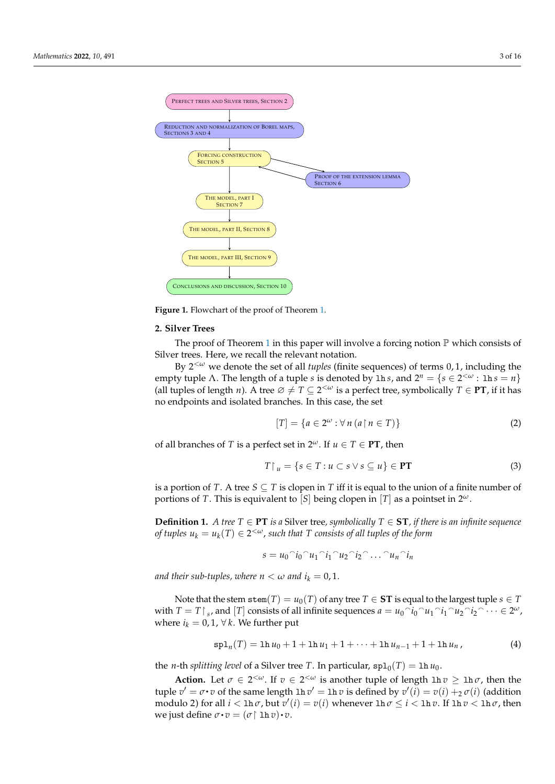<span id="page-2-1"></span>

**Figure 1.** Flowchart of the proof of Theorem [1.](#page-1-0)

#### <span id="page-2-0"></span>**2. Silver Trees**

The proof of Theorem [1](#page-1-0) in this paper will involve a forcing notion  $\mathbb P$  which consists of Silver trees. Here, we recall the relevant notation.

By 2 <sup>&</sup>lt;*<sup>ω</sup>* we denote the set of all *tuples* (finite sequences) of terms 0, 1, including the empty tuple  $\Lambda$ . The length of a tuple *s* is denoted by 1h *s*, and  $2^n = \{s \in 2^{< \omega} : \text{1h } s = n\}$ (all tuples of length *n*). A tree  $\emptyset \neq T \subseteq 2^{<\omega}$  is a perfect tree, symbolically  $T \in \textbf{PT}$ , if it has no endpoints and isolated branches. In this case, the set

$$
[T] = \{a \in 2^{\omega} : \forall n (a \upharpoonright n \in T)\}\tag{2}
$$

of all branches of *T* is a perfect set in  $2^{\omega}$ . If  $u \in T \in PT$ , then

$$
T \upharpoonright u = \{ s \in T : u \subset s \lor s \subseteq u \} \in PT \tag{3}
$$

is a portion of *T*. A tree  $S \subseteq T$  is clopen in *T* iff it is equal to the union of a finite number of portions of *T*. This is equivalent to [*S*] being clopen in [*T*] as a pointset in  $2^{\omega}$ .

<span id="page-2-2"></span>**Definition 1.** *A tree*  $T \in \textbf{PT}$  *is a* Silver tree, symbolically  $T \in \textbf{ST}$ , if there is an infinite sequence *of tuples*  $u_k = u_k(T) \in 2^{<\omega}$ , such that T consists of all tuples of the form

$$
s = u_0^\frown i_0^\frown u_1^\frown i_1^\frown u_2^\frown i_2^\frown \dots^\frown u_n^\frown i_n
$$

*and their sub-tuples, where*  $n < \omega$  *and*  $i_k = 0, 1$ *.* 

Note that the stem  $\text{stem}(T) = u_0(T)$  of any tree  $T \in \text{ST}$  is equal to the largest tuple  $s \in T$ with  $T = T\upharpoonright_{s}$ , and  $[T]$  consists of all infinite sequences  $a = u_0 \uparrow i_0 \uparrow u_1 \uparrow i_1 \uparrow u_2 \uparrow i_2 \uparrow \cdots \in 2^\omega$ , where  $i_k = 0, 1, \forall k$ . We further put

$$
\mathrm{spl}_n(T) = \ln u_0 + 1 + \ln u_1 + 1 + \cdots + \ln u_{n-1} + 1 + \ln u_n, \tag{4}
$$

the *n*-th *splitting level* of a Silver tree *T*. In particular,  $\text{spl}_0(T) = \text{lh } u_0$ .

**Action.** Let  $\sigma \in 2^{<\omega}$ . If  $v \in 2^{<\omega}$  is another tuple of length  $\ln v \geq \ln \sigma$ , then the tuple  $v' = \sigma \cdot v$  of the same length  $\ln v' = \ln v$  is defined by  $v'(i) = v(i) + i2 \sigma(i)$  (addition modulo 2) for all  $i <$  lh  $\sigma$ , but  $v'(i) = v(i)$  whenever lh  $\sigma \leq i <$  lh  $v$ . If lh  $v <$  lh  $\sigma$ , then we just define  $\sigma \cdot v = (\sigma | \ln v) \cdot v$ .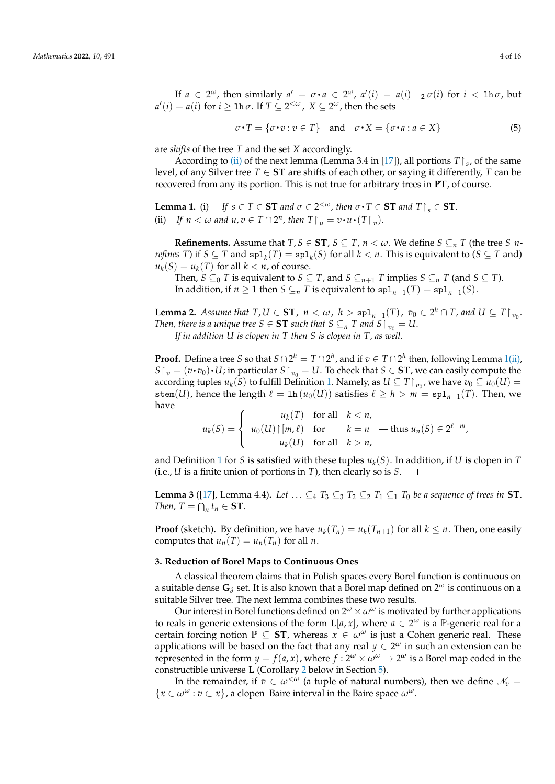If  $a \in 2^{\omega}$ , then similarly  $a' = \sigma \cdot a \in 2^{\omega}$ ,  $a'(i) = a(i) +_2 \sigma(i)$  for  $i < \ln \sigma$ , but  $a'(i) = a(i)$  for  $i \geq \ln \sigma$ . If  $T \subseteq 2^{<\omega}$ ,  $X \subseteq 2^\omega$ , then the sets

$$
\sigma \cdot T = \{ \sigma \cdot v : v \in T \} \quad \text{and} \quad \sigma \cdot X = \{ \sigma \cdot a : a \in X \}
$$
 (5)

are *shifts* of the tree *T* and the set *X* accordingly.

According to [\(ii\)](#page-3-0) of the next lemma (Lemma 3.4 in [\[17\]](#page-14-15)), all portions  $T|_s$ , of the same level, of any Silver tree  $T \in ST$  are shifts of each other, or saying it differently,  $T$  can be recovered from any its portion. This is not true for arbitrary trees in **PT**, of course.

<span id="page-3-0"></span>**Lemma 1.** (i) *If*  $s \in T \in \mathbf{ST}$  *and*  $\sigma \in 2^{<\omega}$ , *then*  $\sigma \cdot T \in \mathbf{ST}$  *and*  $T \upharpoonright_s \in \mathbf{ST}$ *.* (ii) If  $n < \omega$  and  $u, v \in T \cap 2^n$ , then  $T \upharpoonright u = v \cdot u \cdot (T \upharpoonright v)$ .

**Refinements.** Assume that  $T, S \in ST$ ,  $S \subseteq T$ ,  $n < \omega$ . We define  $S \subseteq_n T$  (the tree *S nrefines T*) if  $S \subseteq T$  and  $\text{spl}_k(T) = \text{spl}_k(S)$  for all  $k < n$ . This is equivalent to  $(S \subseteq T$  and)  $u_k(S) = u_k(T)$  for all  $k < n$ , of course.

Then, *S*  $\subseteq$ <sub>0</sub> *T* is equivalent to *S*  $\subseteq$  *T*, and *S*  $\subseteq$ <sub>*n*+1</sub> *T* implies *S*  $\subseteq$ <sub>*n*</sub> *T* (and *S*  $\subseteq$  *T*). In addition, if  $n \ge 1$  then  $S \subseteq_n T$  is equivalent to  $\text{spl}_{n-1}(T) = \text{spl}_{n-1}(S)$ .

<span id="page-3-2"></span>**Lemma 2.** *Assume that*  $T, U \in \mathbf{ST}$ ,  $n < \omega$ ,  $h > \mathrm{spl}_{n-1}(T)$ ,  $v_0 \in 2^h \cap T$ , and  $U \subseteq T \upharpoonright v_0$ . *Then, there is a unique tree*  $S \in ST$  *such that*  $S \subseteq_n T$  *and*  $S \mid v_0 = U$ . *If in addition U is clopen in T then S is clopen in T, as well.*

**Proof.** Define a tree *S* so that  $S \cap 2^h = T \cap 2^h$ , and if  $v \in T \cap 2^h$  then, following Lemma [1](#page-0-1)[\(ii\),](#page-3-0)  $S \upharpoonright v = (v \cdot v_0) \cdot U$ ; in particular  $S \upharpoonright v_0 = U$ . To check that  $S \in ST$ , we can easily compute the according tuples  $u_k(S)$  to fulfill Definition [1.](#page-2-2) Namely, as  $U \subseteq T \upharpoonright v_0$ , we have  $v_0 \subseteq u_0(U) =$ stem(*U*), hence the length  $\ell = \ln(u_0(U))$  satisfies  $\ell \ge h > m = \text{spl}_{n-1}(T)$ . Then, we

 $u_k(S) =$  $\sqrt{ }$  $\big)$  $u_k(T)$  for all  $k < n$ ,  $u_0(U) \upharpoonright [m, \ell)$  for  $k = n$  — thus  $u_n(S) \in 2^{\ell-m}$ ,

and Definition [1](#page-2-2) for *S* is satisfied with these tuples *u<sup>k</sup>* (*S*). In addition, if *U* is clopen in *T* (i.e., *U* is a finite union of portions in *T*), then clearly so is *S*.  $\Box$ 

 $u_k(U)$  for all  $k > n$ ,

<span id="page-3-1"></span>**Lemma 3** ([\[17\]](#page-14-15), Lemma 4.4). Let  $\dots \subseteq 4$   $T_3 \subseteq 3$   $T_2 \subseteq 2$   $T_1 \subseteq 1$   $T_0$  *be a sequence of trees in* **ST**. *Then,*  $T = \bigcap_n t_n \in \mathbf{ST}$ *.* 

**Proof** (sketch). By definition, we have  $u_k(T_n) = u_k(T_{n+1})$  for all  $k \leq n$ . Then, one easily computes that  $u_n(T) = u_n(T_n)$  for all  $n \in \square$ 

#### <span id="page-3-3"></span>**3. Reduction of Borel Maps to Continuous Ones**

 $\overline{\mathcal{L}}$ 

have

A classical theorem claims that in Polish spaces every Borel function is continuous on a suitable dense  $\mathbf{G}_{\delta}$  set. It is also known that a Borel map defined on  $2^{\omega}$  is continuous on a suitable Silver tree. The next lemma combines these two results.

Our interest in Borel functions defined on  $2^{\omega} \times \omega^{\omega}$  is motivated by further applications to reals in generic extensions of the form  $\mathbf{L}[a, x]$ , where  $a \in 2^{\omega}$  is a  $\mathbb{P}$ -generic real for a certain forcing notion  $\mathbb{P} \subseteq ST$ , whereas  $x \in \omega^{\omega}$  is just a Cohen generic real. These applications will be based on the fact that any real  $y \in 2^{\omega}$  in such an extension can be represented in the form  $y = f(a, x)$ , where  $f : 2^{\omega} \times \omega^{\omega} \to 2^{\omega}$  is a Borel map coded in the constructible universe **L** (Corollary [2](#page-0-1) below in Section [5\)](#page-6-0).

In the remainder, if  $v \in \omega^{\langle \omega \rangle}$  (a tuple of natural numbers), then we define  $\mathcal{N}_v =$  ${x \in \omega^{\omega} : v \subset x}$ , a clopen Baire interval in the Baire space  $\omega^{\omega}$ .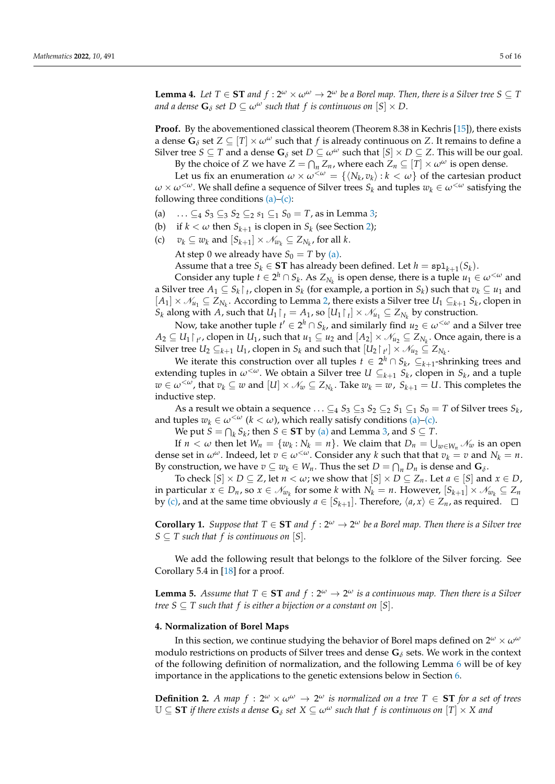<span id="page-4-3"></span>**Lemma 4.** Let  $T \in \mathbf{ST}$  and  $f : 2^\omega \times \omega^\omega \to 2^\omega$  be a Borel map. Then, there is a Silver tree  $S \subseteq T$ *and a dense*  $\mathbf{G}_\delta$  *set*  $D \subseteq \omega^\omega$  *such that*  $f$  *is continuous on*  $[S] \times D$ .

**Proof.** By the abovementioned classical theorem (Theorem 8.38 in Kechris [\[15\]](#page-14-13)), there exists a dense  $\mathbf{G}_{\delta}$  set  $Z \subseteq [T] \times \omega^{\omega}$  such that f is already continuous on Z. It remains to define a Silver tree *S*  $\subseteq$  *T* and a dense **G**<sub> $\delta$ </sub> set *D*  $\subseteq$   $\omega^{\omega}$  such that  $[S] \times D \subseteq Z$ . This will be our goal.

By the choice of *Z* we have  $Z = \bigcap_n Z_n$ , where each  $Z_n \subseteq [T] \times \omega^\omega$  is open dense.

Let us fix an enumeration  $\omega \times \omega^{\langle \omega \rangle} = \{ \langle N_k, v_k \rangle : k \langle \omega \rangle \}$  of the cartesian product  $\omega \times \omega^{\langle \omega \rangle}$ . We shall define a sequence of Silver trees  $S_k$  and tuples  $w_k \in \omega^{\langle \omega \rangle}$  satisfying the following three conditions  $(a)$ – $(c)$ :

- <span id="page-4-1"></span>(a) ...  $\subseteq_4 S_3 \subseteq_3 S_2 \subseteq_2 s_1 \subseteq_1 S_0 = T$ , as in Lemma [3;](#page-3-1)
- (b) if  $k < \omega$  then  $S_{k+1}$  is clopen in  $S_k$  (see Section [2\)](#page-2-0);
- <span id="page-4-2"></span>(c)  $v_k \subseteq w_k$  and  $[S_{k+1}] \times \mathcal{N}_{w_k} \subseteq Z_{N_k}$ , for all  $k$ . At step 0 we already have  $S_0 = T$  by [\(a\).](#page-4-1)

Assume that a tree  $S_k \in \mathbf{ST}$  has already been defined. Let  $h = \mathbf{spl}_{k+1}(S_k)$ .

Consider any tuple  $t \in 2^h \cap S_k$ . As  $Z_{N_k}$  is open dense, there is a tuple  $u_1 \in \omega^{\lt \omega}$  and a Silver tree  $A_1 \subseteq S_k \cap I$ , clopen in  $S_k$  (for example, a portion in  $S_k$ ) such that  $v_k \subseteq u_1$  and  $[A_1]$  ×  $\mathcal{N}_{u_1}$  ⊆  $Z_{N_k}$ . According to Lemma [2,](#page-3-2) there exists a Silver tree  $U_1$  ⊆ $_{k+1}$   $S_k$ , clopen in  $S_k$  along with  $A$ , such that  $U_1 \upharpoonright_t t = A_1$ , so  $[U_1 \upharpoonright_t] \times \mathcal{N}_{u_1} \subseteq Z_{N_k}$  by construction.

Now, take another tuple  $t' \in 2^h \cap S_k$ , and similarly find  $u_2 \in \omega^{\leq \omega}$  and a Silver tree  $A_2 ⊆ U_1 \nvert_{t'}$ , clopen in  $U_1$ , such that  $u_1 ⊆ u_2$  and  $[A_2] × \mathcal{N}_{u_2} ⊆ Z_{N_k}$ . Once again, there is a Silver tree  $U_2 \subseteq_{k+1} U_1$ , clopen in  $S_k$  and such that  $[U_2 \upharpoonright_{t'}] \times \mathcal{N}_{u_2} \subseteq Z_{N_k}$ .

We iterate this construction over all tuples  $t \in 2^h \cap S_k$ ,  $\subseteq_{k+1}$ -shrinking trees and extending tuples in  $\omega^{<\omega}$ . We obtain a Silver tree  $U \subseteq_{k+1} S_k$ , clopen in  $S_k$ , and a tuple  $w \in \omega^{\lt \omega}$ , that  $v_k \subseteq w$  and  $[U] \times \mathcal{N}_w \subseteq Z_{N_k}$ . Take  $w_k = w$ ,  $S_{k+1} = U$ . This completes the inductive step.

As a result we obtain a sequence  $\dots \subseteq_4 S_3 \subseteq_3 S_2 \subseteq_2 S_1 \subseteq_1 S_0 = T$  of Silver trees  $S_k$ , and tuples  $w_k \in \omega^{<\omega}$  ( $k < \omega$ ), which really satisfy conditions [\(a\)–](#page-4-1)[\(c\).](#page-4-2)

We put  $S = \bigcap_k S_k$ ; then  $S \in ST$  by [\(a\)](#page-4-1) and Lemma [3,](#page-3-1) and  $S \subseteq T$ .

If  $n < \omega$  then let  $W_n = \{w_k : N_k = n\}$ . We claim that  $D_n = \bigcup_{w \in W_n} \mathcal{N}_w$  is an open dense set in  $\omega^{\omega}$ . Indeed, let  $v \in \omega^{<\omega}$ . Consider any *k* such that that  $v_k = v$  and  $N_k = n$ . By construction, we have  $v \subseteq w_k \in W_n$ . Thus the set  $D = \bigcap_n D_n$  is dense and  $\mathbf{G}_{\delta}$ .

To check  $[S] \times D \subseteq Z$ , let  $n < \omega$ ; we show that  $[S] \times D \subseteq Z_n$ . Let  $a \in [S]$  and  $x \in D$ , in particular  $x \in D_n$ , so  $x \in \mathcal{N}_{w_k}$  for some  $k$  with  $N_k = n$ . However,  $[S_{k+1}] \times \mathcal{N}_{w_k} \subseteq Z_n$ by [\(c\),](#page-4-2) and at the same time obviously  $a \in [S_{k+1}]$ . Therefore,  $\langle a, x \rangle \in Z_n$ , as required.

<span id="page-4-5"></span>**Corollary 1.** *Suppose that*  $T \in \mathbf{ST}$  *and*  $f : 2^{\omega} \to 2^{\omega}$  *be a Borel map. Then there is a Silver tree*  $S \subseteq T$  such that f is continuous on [S].

We add the following result that belongs to the folklore of the Silver forcing. See Corollary 5.4 in [\[18\]](#page-14-16) for a proof.

<span id="page-4-6"></span>**Lemma 5.** Assume that  $T \in \mathbf{ST}$  and  $f : 2^{\omega} \to 2^{\omega}$  is a continuous map. Then there is a Silver *tree*  $S \subseteq T$  *such that*  $f$  *is either a bijection or a constant on*  $[S]$ *.* 

### <span id="page-4-0"></span>**4. Normalization of Borel Maps**

In this section, we continue studying the behavior of Borel maps defined on  $2^{\omega} \times \omega^{\omega}$ modulo restrictions on products of Silver trees and dense **G***<sup>δ</sup>* sets. We work in the context of the following definition of normalization, and the following Lemma [6](#page-5-0) will be of key importance in the applications to the genetic extensions below in Section [6.](#page-8-0)

<span id="page-4-4"></span>**Definition 2.** A map  $f : 2^{\omega} \times \omega^{\omega} \to 2^{\omega}$  is normalized on a tree  $T \in ST$  for a set of trees  $\mathbb{U} \subseteq \mathbf{ST}$  *if there exists a dense*  $\mathbf{G}_\delta$  *set*  $X \subseteq \omega^\omega$  *such that f is continuous on*  $[T] \times X$  *and*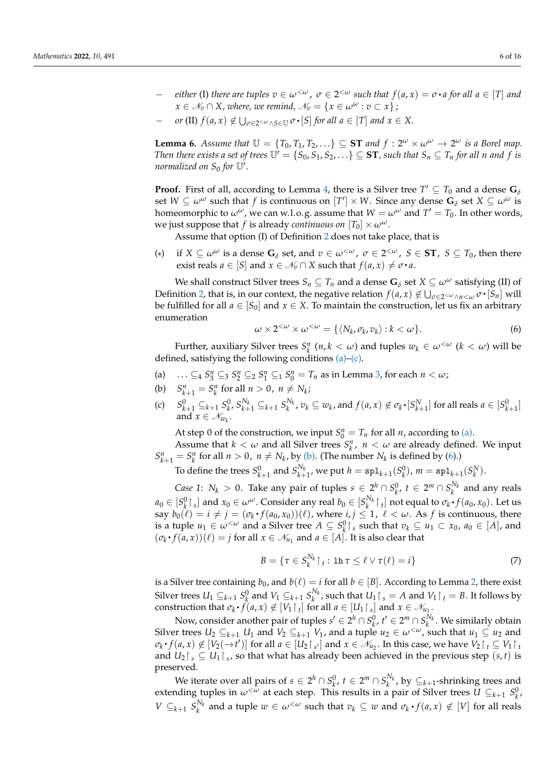- $-$  *either* (I) *there are tuples*  $v \in ω^{\lt \omega}$ ,  $\sigma \in 2^{<\omega}$  *such that*  $f(a, x) = σ ⋅ a$  *for all*  $a \in [T]$  *and*  $x \in \mathcal{N}_v \cap X$ , where, we remind,  $\mathcal{N}_v = \{x \in \omega^\omega : v \subset x\}$ ;
- *− or* (II)  $f(a, x) \notin \bigcup_{\sigma \in 2 \leq w \land S \in \mathbb{U}} \sigma \cdot [S]$  *for all a* ∈ [*T*] *and*  $x \in X$ .  $\ddot{\phantom{0}}$

<span id="page-5-0"></span>**Lemma 6.** *Assume that*  $\mathbb{U} = \{T_0, T_1, T_2, \ldots\} \subseteq \mathbf{ST}$  *and*  $f : 2^{\omega} \times \omega^{\omega} \to 2^{\omega}$  *is a Borel map. Then there exists a set of trees*  $\mathbb{U}' = \{S_0, S_1, S_2, \ldots\} \subseteq \mathbf{ST}$ *, such that*  $S_n \subseteq T_n$  *for all n and f is normalized on*  $S_0$  for  $\mathbb{U}'$ .

**Proof.** First of all, according to Lemma [4,](#page-4-3) there is a Silver tree  $T' \subseteq T_0$  and a dense  $\mathbf{G}_\delta$ set  $W \subseteq \omega^{\omega}$  such that *f* is continuous on  $[T'] \times W$ . Since any dense  $G_{\delta}$  set  $X \subseteq \omega^{\omega}$  is homeomorphic to  $\omega^{\omega}$ , we can w.l.o.g. assume that  $W = \omega^{\omega}$  and  $T' = T_0$ . In other words, we just suppose that *f* is already *continuous on*  $[T_0] \times \omega^\omega$ .

Assume that option (I) of Definition [2](#page-4-4) does not take place, that is

<span id="page-5-5"></span> $(*)$ ) if *X* ⊆  $ω^ω$  is a dense **G**<sub> $δ$ </sub> set, and  $v ∈ ω^< ω}$ ,  $σ ∈ 2^{< ω}$ ,  $S ∈$  **ST**,  $S ⊆ T_0$ , then there exist reals  $a \in [S]$  and  $x \in \mathcal{N}_v \cap X$  such that  $f(a, x) \neq \sigma \cdot a$ .

We shall construct Silver trees  $S_n \subseteq T_n$  and a dense  $G_\delta$  set  $X \subseteq \omega^\omega$  satisfying (II) of Definition [2,](#page-4-4) that is, in our context, the negative relation  $f(a, x) \notin \bigcup_{\sigma \in 2^{<\omega} \wedge n < \omega} \sigma \cdot [S_n]$  will . be fulfilled for all  $a \in [S_0]$  and  $x \in X$ . To maintain the construction, let us fix an arbitrary enumeration

<span id="page-5-4"></span>
$$
\omega \times 2^{<\omega} \times \omega^{<\omega} = \{ \langle N_k, \sigma_k, v_k \rangle : k < \omega \}.
$$
 (6)

Further, auxiliary Silver trees  $S_k^n$  ( $n, k < \omega$ ) and tuples  $w_k \in \omega^{{<\omega}}$  ( $k < \omega$ ) will be defined, satisfying the following conditions [\(a\)–](#page-5-1)[\(c\).](#page-5-2)

- <span id="page-5-1"></span>(a)  $\ldots \subseteq_4 S_3^n \subseteq_3 S_2^n \subseteq_2 S_1^n \subseteq_1 S_0^n = T_n$  as in Lemma [3,](#page-3-1) for each  $n < \omega$ ;
- <span id="page-5-3"></span>(b)  $S_{k+1}^n = S_k^n$  for all  $n > 0$ ,  $n \neq N_k$ ; *k*
- <span id="page-5-2"></span>(c)  $S_{k+1}^0 \subseteq_{k+1} S_k^0$ ,  $S_{k+1}^{N_k} \subseteq_{k+1} S_k^{N_k}$ ,  $v_k \subseteq w_k$ , and  $f(a, x) \notin \sigma_k \cdot [S_{k+1}^N]$  for all reals  $a \in [S_{k+1}^0]$ and  $x \in \mathcal{N}_{w_k}$ .

At step 0 of the construction, we input  $S_0^n = T_n$  for all *n*, according to [\(a\).](#page-5-1)

Assume that  $k < \omega$  and all Silver trees  $S_k^n$ ,  $n < \omega$  are already defined. We input  $S_{k+1}^n = S_k^n$  for all  $n > 0$ ,  $n \neq N_k$ , by [\(b\).](#page-5-3) (The number  $N_k$  is defined by [\(6\)](#page-5-4).)

To define the trees  $S_{k+1}^0$  and  $S_{k+1}^{N_k}$ , we put  $h = \text{spl}_{k+1}(S_k^0)$ ,  $m = \text{spl}_{k+1}(S_k^N)$ .

*Case 1*:  $N_k > 0$ . Take any pair of tuples  $s \in 2^h \cap S_k^0$ ,  $t \in 2^m \cap S_k^{N_k}$  and any reals  $a_0 \in [S_k^0]_s$  and  $x_0 \in \omega^\omega$ . Consider any real  $b_0 \in [S_k^{N_k}]_t$  not equal to  $\sigma_k \cdot f(a_0, x_0)$ . Let us say  $b_0(\ell) = i \neq j = (\sigma_k \cdot f(a_0, x_0))(\ell)$ , where  $i, j \leq 1$ ,  $\ell < \omega$ . As  $f$  is continuous, there is a tuple  $u_1 \in \omega^{{\lt}\omega}$  and a Silver tree  $A \subseteq S_k^0 \upharpoonright_s$  such that  $v_k \subseteq u_1 \subset x_0$ ,  $a_0 \in [A]$ , and  $(\sigma_k \cdot f(a, x))(\ell) = j$  for all  $x \in \mathcal{N}_{u_1}$  and  $a \in [A]$ . It is also clear that

$$
B = \{ \tau \in S_k^{N_k} \upharpoonright_t : \ln \tau \le \ell \vee \tau(\ell) = i \}
$$
 (7)

is a Silver tree containing  $b_0$ , and  $b(\ell) = i$  for all  $b \in [B]$ . According to Lemma [2,](#page-3-2) there exist Silver trees  $U_1 \subseteq_{k+1} S_k^0$  and  $V_1 \subseteq_{k+1} S_k^{N_k}$ , such that  $U_1 \cap_s = A$  and  $V_1 \cap_t = B$ . It follows by construction that  $\sigma_k \cdot f(a, x) \notin [V_1 \upharpoonright_t]$  for all  $a \in [U_1 \upharpoonright_s]$  and  $x \in \mathcal{N}_{u_1}$ .

Now, consider another pair of tuples  $s' \in 2^h \cap S_k^0$ ,  $t' \in 2^m \cap S_k^{N_k}$ . We similarly obtain Silver trees  $U_2 \subseteq_{k+1} U_1$  and  $V_2 \subseteq_{k+1} V_1$ , and a tuple  $u_2 \in \omega^{\lt \omega}$ , such that  $u_1 \subseteq u_2$  and  $\sigma_k \cdot f(a, x) \notin [V_2(\to t')]$  for all  $a \in [U_2 \restriction_{s'}]$  and  $x \in \mathcal{N}_{u_2}$ . In this case, we have  $V_2 \restriction_t \subseteq V_1 \restriction_t$ and  $U_2 \upharpoonright_s \subseteq U_1 \upharpoonright_s$ , so that what has already been achieved in the previous step  $(s, t)$  is preserved.

We iterate over all pairs of  $s \in 2^h \cap S_k^0$ ,  $t \in 2^m \cap S_k^{N_k}$ , by  $\subseteq_{k+1}$ -shrinking trees and extending tuples in  $\omega^{<\omega}$  at each step. This results in a pair of Silver trees  $\tilde{U} \subseteq_{k+1} S_k^0$ , *V*  $\subseteq$   $k+1$   $S_k^{N_k}$  and a tuple  $w \in \omega^{<\omega}$  such that  $v_k \subseteq w$  and  $\sigma_k \cdot f(a, x) \notin [V]$  for all reals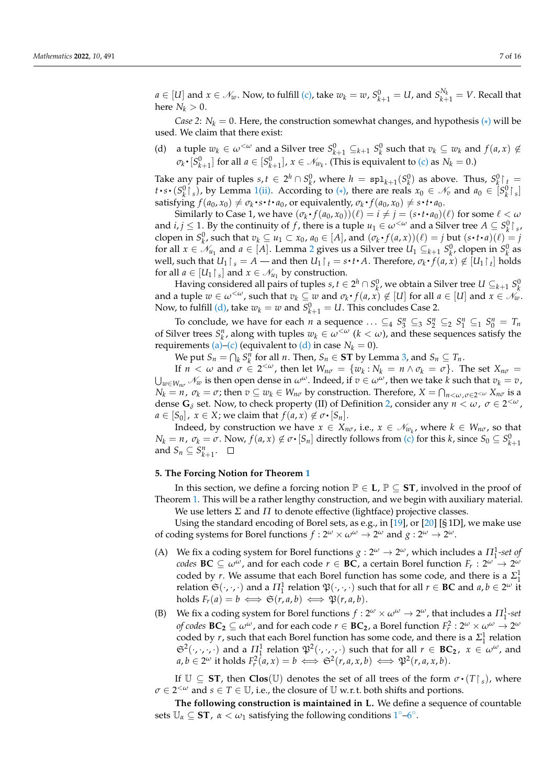$a \in [U]$  and  $x \in \mathcal{N}_w$ . Now, to fulfill [\(c\),](#page-5-2) take  $w_k = w$ ,  $S^0_{k+1} = U$ , and  $S^{N_k}_{k+1} = V$ . Recall that here  $N_k > 0$ .

*Case 2*:  $N_k = 0$ . Here, the construction somewhat changes, and hypothesis [\(\\*](#page-5-5)) will be used. We claim that there exist:

<span id="page-6-1"></span>(d) a tuple  $w_k \in \omega^{{\langle \omega \rangle}}$  and a Silver tree  $S^0_{k+1} \subseteq_{k+1} S^0_k$  such that  $v_k \subseteq w_k$  and  $f(a, x) \notin$  $\sigma_k \cdot [S^0_{k+1}]$  for all  $a \in [S^0_{k+1}]$ ,  $x \in \mathcal{N}_{w_k}$ . (This is equivalent to [\(c\)](#page-5-2) as  $N_k = 0$ .) q

Take any pair of tuples  $s, t \in 2^h \cap S_k^0$ , where  $h = \text{spl}_{k+1}(S_k^0)$  as above. Thus,  $S_k^0 \upharpoonright t = \left[ \sum_{k=1}^h S_k^0 \right]$  $t \cdot s \cdot (S_k^0 \rvert_s)$ , by Lemma [1](#page-0-1)[\(ii\).](#page-3-0) According to [\(\\*](#page-5-5)), there are reals  $x_0 \in \mathcal{N}_v$  and  $a_0 \in [S_k^0 \rvert_s]$ q satisfying  $f(a_0, x_0) \neq \sigma_k \cdot s \cdot t \cdot a_0$ , or equivalently,  $\sigma_k \cdot f(a_0, x_0) \neq s \cdot t \cdot a_0$ .  $\ddot{\phantom{0}}$  $\ddot{\phantom{0}}$ q  $\ddot{\phantom{0}}$ 

Similarly to Case 1, we have  $(\sigma_k \cdot f(a_0, x_0))(\ell) = i \neq j = (s \cdot t \cdot a_0)(\ell)$  for some  $\ell < \omega$  $\ddot{\phantom{0}}$  $\ddot{\phantom{0}}$ and *i*, *j*  $\leq$  1. By the continuity of *f*, there is a tuple  $u_1 \in \omega^{\lt \omega}$  and a Silver tree  $A \subseteq S_k^0 \upharpoonright s$ , clopen in  $S_k^0$ , such that  $v_k \subseteq u_1 \subset x_0$ ,  $a_0 \in [A]$ , and  $(\sigma_k \cdot f(a, x))(\ell) = j$  but  $(s \cdot t \cdot a)(\ell) = j$  $\ddot{\phantom{0}}$  $\ddot{\phantom{0}}$ for all  $x \in \mathcal{N}_{u_1}$  and  $a \in [A]$ . Lemma [2](#page-3-2) gives us a Silver tree  $U_1 \subseteq_{k+1} S_k^0$ , clopen in  $S_k^0$  as well, such that  $U_1 \upharpoonright_s = A$  — and then  $U_1 \upharpoonright_t = s \cdot t \cdot A$ . Therefore,  $\sigma_k \cdot f(a, x) \notin [U_1 \upharpoonright_t]$  holds  $\ddot{\phantom{0}}$  $\ddot{\phantom{0}}$ for all  $a \in [U_1 \upharpoonright_s]$  and  $x \in \mathcal{N}_{u_1}$  by construction.

Having considered all pairs of tuples *s*,  $t \in 2^h \cap S_k^0$ , we obtain a Silver tree  $U \subseteq_{k+1} S_k^0$ and a tuple  $w \in \omega^{<\omega}$ , such that  $v_k \subseteq w$  and  $\sigma_k \cdot f(a, x) \notin [U]$  for all  $a \in [U]$  and  $x \in \mathcal{N}_w$ .  $\ddot{\phantom{0}}$ Now, to fulfill [\(d\),](#page-6-1) take  $w_k = w$  and  $S^0_{k+1} = U$ . This concludes Case 2.

To conclude, we have for each *n* a sequence  $\ldots \subseteq_4 S_3^n \subseteq_3 S_2^n \subseteq_2 S_1^n \subseteq_1 S_0^n = T_n$ of Silver trees  $S_k^n$ , along with tuples  $w_k \in \omega^{<\omega}$  ( $k < \omega$ ), and these sequences satisfy the requirements [\(a\)–](#page-5-1)[\(c\)](#page-5-2) (equivalent to [\(d\)](#page-6-1) in case  $N_k = 0$ ).

We put  $S_n = \bigcap_k S_k^n$  for all *n*. Then,  $S_n \in \mathbf{ST}$  by Lemma [3,](#page-3-1) and  $S_n \subseteq T_n$ .

If  $n < \omega$  and  $\sigma \in 2^{<\omega}$ , then let  $W_{n\sigma} = \{w_k : N_k = n \wedge \sigma_k = \sigma\}$ . The set  $X_{n\sigma} =$  $\bigcup_{w \in W_{n\sigma}} \mathcal{N}_w$  is then open dense in  $\omega^\omega$ . Indeed, if  $v \in \omega^\omega$ , then we take *k* such that  $v_k = v$ ,  $N_k = n$ ,  $\sigma_k = \sigma$ ; then  $v \subseteq w_k \in W_{n\sigma}$  by construction. Therefore,  $X = \bigcap_{n < \omega, \sigma \in 2^{<\omega}} X_{n\sigma}$  is a dense  $G_\delta$  set. Now, to check property (II) of Definition [2,](#page-4-4) consider any  $n < \omega$ ,  $\sigma \in 2^{<\omega}$ ,  $a \in [S_0]$ ,  $x \in X$ ; we claim that  $f(a, x) \notin \sigma \cdot [S_n]$ .

Indeed, by construction we have  $x \in X_{n\sigma}$ , i.e.,  $x \in \mathcal{N}_{w_k}$ , where  $k \in W_{n\sigma}$ , so that  $N_k = n$ ,  $\sigma_k = \sigma$ . Now,  $f(a, x) \notin \sigma \cdot [S_n]$  directly follows from [\(c\)](#page-5-2) for this *k*, since  $S_0 \subseteq S^0_{k+1}$ and  $S_n \subseteq S_{k+1}^n$ .

## <span id="page-6-0"></span>**5. The Forcing Notion for Theorem [1](#page-1-0)**

In this section, we define a forcing notion  $\mathbb{P} \in L$ ,  $\mathbb{P} \subseteq ST$ , involved in the proof of Theorem [1.](#page-1-0) This will be a rather lengthy construction, and we begin with auxiliary material.

We use letters *Σ* and *Π* to denote effective (lightface) projective classes.

Using the standard encoding of Borel sets, as e.g., in [\[19\]](#page-14-17), or [\[20\]](#page-14-18) [§ 1D], we make use of coding systems for Borel functions  $f: 2^{\omega} \times \omega^{\omega} \to 2^{\omega}$  and  $g: 2^{\omega} \to 2^{\omega}$ .

- (A) We fix a coding system for Borel functions  $g: 2^{\omega} \to 2^{\omega}$ , which includes a  $\Pi_1^1$ -set of *codes*  $BC \subseteq \omega^{\omega}$ , and for each code  $r \in BC$ , a certain Borel function  $F_r : 2^{\omega} \to 2^{\omega}$ coded by *r*. We assume that each Borel function has some code, and there is a  $\Sigma_1^1$ relation  $\mathfrak{S}(\cdot,\cdot,\cdot)$  and a  $\Pi_1^1$  relation  $\mathfrak{P}(\cdot,\cdot,\cdot)$  such that for all  $r \in BC$  and  $a, b \in 2^\omega$  it holds  $F_r(a) = b \iff \mathfrak{S}(r, a, b) \iff \mathfrak{P}(r, a, b).$
- (B) We fix a coding system for Borel functions  $f : 2^{\omega} \times \omega^{\omega} \to 2^{\omega}$ , that includes a  $\Pi_1^1$ -set  $f$  *of codes*  $BC_2 \subseteq \omega^\omega$  , and for each code  $r \in BC_2$  , a Borel function  $F_r^2: 2^\omega \times \omega^\omega \to 2^\omega$ coded by *r*, such that each Borel function has some code, and there is a  $\Sigma_1^1$  relation  $\mathfrak{S}^2(\cdot,\cdot,\cdot,\cdot)$  and a  $\Pi_1^1$  relation  $\mathfrak{P}^2(\cdot,\cdot,\cdot,\cdot)$  such that for all  $r \in BC_2$ ,  $x \in \omega^\omega$ , and  $a, b \in 2^{\omega}$  it holds  $F_r^2(a, x) = b \iff \mathfrak{S}^2(r, a, x, b) \iff \mathfrak{P}^2(r, a, x, b).$

If  $\mathbb{U} \subseteq ST$ , then  $Clos(\mathbb{U})$  denotes the set of all trees of the form  $\sigma \cdot (T \upharpoonright_s)$ , where *σ* ∈ 2 <sup>&</sup>lt;*<sup>ω</sup>* and *s* ∈ *T* ∈ U, i.e., the closure of U w.r. t. both shifts and portions.

**The following construction is maintained in L.** We define a sequence of countable sets  $\mathbb{U}_{\alpha} \subseteq \mathbf{ST}$ ,  $\alpha < \omega_1$  $\alpha < \omega_1$  satisfying the following conditions  $1^{\circ}-6^{\circ}$ .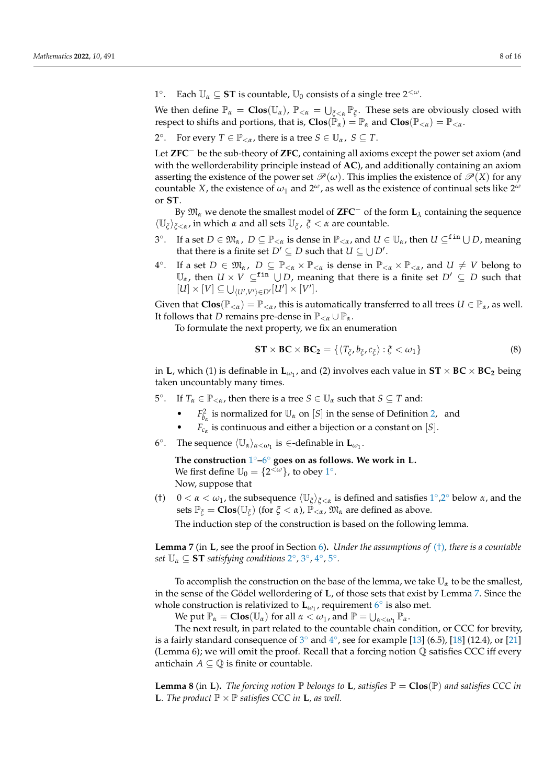<span id="page-7-0"></span> $1^\circ$ Each  $\mathbb{U}_\alpha \subseteq \mathbf{ST}$  is countable,  $\mathbb{U}_0$  consists of a single tree  $2^{<\omega}$ .

We then define  $\mathbb{P}_{\alpha} = \text{Clos}(\mathbb{U}_{\alpha})$ ,  $\mathbb{P}_{\leq \alpha} = \bigcup_{\xi \leq \alpha} \mathbb{P}_{\xi}$ . These sets are obviously closed with respect to shifts and portions, that is,  $\text{Clos}(\mathbb{P}_{\alpha}) = \mathbb{P}_{\alpha}$  and  $\text{Clos}(\mathbb{P}_{<\alpha}) = \mathbb{P}_{<\alpha}$ .

<span id="page-7-2"></span> $2^{\circ}$ For every  $T \in \mathbb{P}_{< \alpha}$ , there is a tree  $S \in \mathbb{U}_{\alpha}$ ,  $S \subseteq T$ .

Let **ZFC**<sup>−</sup> be the sub-theory of **ZFC**, containing all axioms except the power set axiom (and with the wellorderability principle instead of **AC**), and additionally containing an axiom asserting the existence of the power set  $\mathcal{P}(\omega)$ . This implies the existence of  $\mathcal{P}(X)$  for any countable *X*, the existence of  $\omega_1$  and  $2^{\omega}$ , as well as the existence of continual sets like  $2^{\omega}$ or **ST**.

By  $\mathfrak{M}_\alpha$  we denote the smallest model of **ZFC**<sup>−</sup> of the form  $\mathbf{L}_\lambda$  containing the sequence  $\langle \mathbb{U}_{\xi} \rangle_{\xi < \alpha}$ , in which  $\alpha$  and all sets  $\mathbb{U}_{\xi}$ ,  $\xi < \alpha$  are countable.

- <span id="page-7-4"></span> $3^\circ$  $I$  a set *D* ∈  $\mathfrak{M}_{\alpha}$ , *D* ⊆  $\mathbb{P}_{< \alpha}$  is dense in  $\mathbb{P}_{< \alpha}$ , and *U* ∈  $\mathbb{U}_{\alpha}$ , then *U* ⊆<sup>fin</sup> ∪ *D*, meaning that there is a finite set  $D' \subseteq D$  such that  $U \subseteq \bigcup D'$ .
- <span id="page-7-5"></span> $4^\circ$ If a set  $D \in \mathfrak{M}_{\alpha}$ ,  $D \subseteq \mathbb{P}_{<\alpha} \times \mathbb{P}_{<\alpha}$  is dense in  $\mathbb{P}_{<\alpha} \times \mathbb{P}_{<\alpha}$ , and  $U \neq V$  belong to  $\mathbb{U}_{\alpha}$ , then  $U \times V \subseteq$ <sup>fin</sup>  $\bigcup D$ , meaning that there is a finite set  $D' \subseteq D$  such that  $[U] \times [V] \subseteq \bigcup_{\langle U', V' \rangle \in D'} [U'] \times [V']$ .

Given that  $\text{Clos}(\mathbb{P}_{< \alpha}) = \mathbb{P}_{< \alpha}$ , this is automatically transferred to all trees  $U \in \mathbb{P}_{\alpha}$ , as well. It follows that *D* remains pre-dense in  $\mathbb{P}_{<\alpha} \cup \mathbb{P}_{\alpha}$ .

To formulate the next property, we fix an enumeration

<span id="page-7-10"></span>
$$
\mathbf{ST} \times \mathbf{BC} \times \mathbf{BC}_2 = \{ \langle T_{\xi}, b_{\xi}, c_{\xi} \rangle : \xi < \omega_1 \} \tag{8}
$$

in **L**, which (1) is definable in  $\mathbf{L}_{\omega_1}$ , and (2) involves each value in  $ST \times BC \times BC_2$  being taken uncountably many times.

<span id="page-7-6"></span>5 ◦ If  $T_\alpha \in \mathbb{P}_{<\alpha}$ , then there is a tree  $S \in \mathbb{U}_\alpha$  such that  $S \subseteq T$  and:

- *F*<sub> $b_{\alpha}$ </sub> is normalized for  $\mathbb{U}_{\alpha}$  on [*S*] in the sense of Definition [2,](#page-4-4) and
- *Fc<sup>α</sup>* is continuous and either a bijection or a constant on [*S*].
- <span id="page-7-1"></span>6°. The sequence  $\langle \mathbb{U}_{\alpha} \rangle_{\alpha < \omega_1}$  is  $\in$ -definable in  $\mathbf{L}_{\omega_1}$ .

**The construction** [1](#page-7-0) ◦**–**[6](#page-7-1) ◦ **goes on as follows. We work in L.** We first define  $\mathbb{U}_0 = \{2^{\langle \omega \rangle}\}\)$ , to obey  $1^\circ$  $1^\circ$ . Now, suppose that

<span id="page-7-3"></span>(†)  $0 < \alpha < \omega_1$  $0 < \alpha < \omega_1$ , the subsequence  $\langle \mathbb{U}_{\xi} \rangle_{\xi < \alpha}$  is defined and satisfies  $1^{\circ}, 2^{\circ}$  below  $\alpha$ , and the sets  $\mathbb{P}_{\xi} = \text{Clos}(\mathbb{U}_{\xi})$  (for  $\xi < \alpha$ ),  $\mathbb{P}_{\leq \alpha}$ ,  $\mathfrak{M}_{\alpha}$  are defined as above.

The induction step of the construction is based on the following lemma.

<span id="page-7-7"></span>**Lemma 7** (in **L**, see the proof in Section [6\)](#page-8-0)**.** *Under the assumptions of* [\(†\)](#page-7-3)*, there is a countable set*  $\mathbb{U}_{\alpha} \subseteq \mathbf{ST}$  *satisfying conditions* [2](#page-7-2) $^{\circ}$ , [3](#page-7-4) $^{\circ}$ , [4](#page-7-5) $^{\circ}$ , [5](#page-7-6) $^{\circ}$ .

To accomplish the construction on the base of the lemma, we take U*<sup>α</sup>* to be the smallest, in the sense of the Gödel wellordering of **L**, of those sets that exist by Lemma [7.](#page-7-7) Since the whole construction is relativized to  $\mathbf{L}_{\omega_1}$ , requirement  $6^\circ$  $6^\circ$  is also met.

We put  $\mathbb{P}_{\alpha} = \text{Clos}(\mathbb{U}_{\alpha})$  for all  $\alpha < \omega_1$ , and  $\mathbb{P} = \bigcup_{\alpha < \omega_1} \mathbb{P}_{\alpha}$ .

The next result, in part related to the countable chain condition, or CCC for brevity, is a fairly standard consequence of  $3^{\circ}$  $3^{\circ}$  and  $4^{\circ}$  $4^{\circ}$ , see for example [\[13\]](#page-14-11) (6.5), [\[18\]](#page-14-16) (12.4), or [\[21\]](#page-15-0) (Lemma 6); we will omit the proof. Recall that a forcing notion Q satisfies CCC iff every antichain  $A \subseteq \mathbb{Q}$  is finite or countable.

<span id="page-7-9"></span><span id="page-7-8"></span>**Lemma 8** (in **L**). *The forcing notion*  $\mathbb P$  *belongs to* **L***, satisfies*  $\mathbb P = \textbf{Clos}(\mathbb P)$  *and satisfies* CCC *in* **L***. The product*  $\mathbb{P} \times \mathbb{P}$  *satisfies CCC in* **L***, as well.*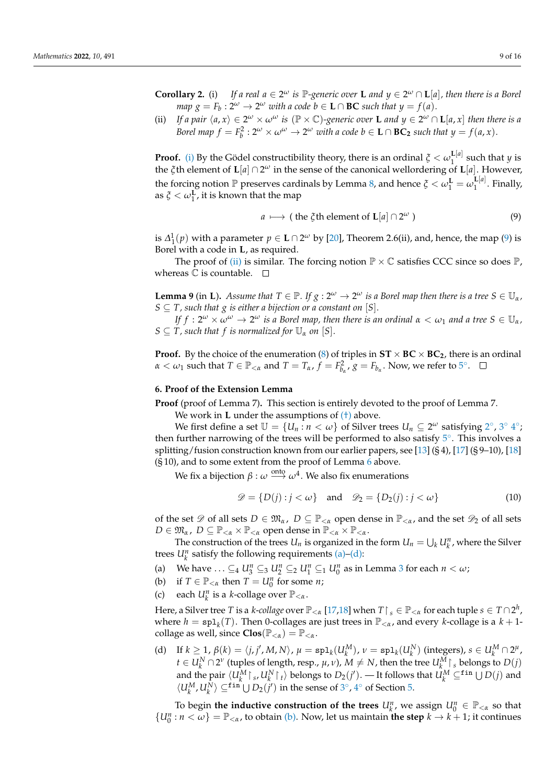<span id="page-8-2"></span>(ii) If a pair  $\langle a, x \rangle \in 2^{\omega} \times \omega^{\omega}$  is  $(\mathbb{P} \times \mathbb{C})$ -generic over **L** and  $y \in 2^{\omega} \cap L[a, x]$  then there is a *Borel map*  $f = F_b^2 : 2^{\omega} \times \omega^{\omega} \to 2^{\omega}$  *with a code*  $b \in L \cap BC_2$  *such that*  $y = f(a, x)$ *.* 

**Proof.** [\(i\)](#page-7-8) By the Gödel constructibility theory, there is an ordinal  $\zeta < \omega_1^{\text{L}[a]}$  $\int_1^{\mathbf{L}[\mu]}$  such that *y* is the *ξ*th element of **L**[*a*] ∩ 2 *<sup>ω</sup>* in the sense of the canonical wellordering of **L**[*a*]. However, the forcing notion P preserves cardinals by Lemma [8,](#page-7-9) and hence  $\zeta < \omega_1^L = \omega_1^{L[a]}$  $T_1^{\mathbf{L}[\mu]}$ . Finally, as  $\zeta < \omega_1^{\mathbf{L}}$ , it is known that the map

<span id="page-8-1"></span>
$$
a \mapsto (\text{the } \xi \text{th element of } \mathbf{L}[a] \cap 2^{\omega}) \tag{9}
$$

is  $\Delta_1^1(p)$  with a parameter  $p \in L \cap 2^{\omega}$  by [\[20\]](#page-14-18), Theorem 2.6(ii), and, hence, the map [\(9\)](#page-8-1) is Borel with a code in **L**, as required.

The proof of [\(ii\)](#page-8-2) is similar. The forcing notion  $\mathbb{P} \times \mathbb{C}$  satisfies CCC since so does  $\mathbb{P}$ , whereas  $\mathbb C$  is countable.  $\Box$ 

<span id="page-8-7"></span>**Lemma 9** (in **L**). *Assume that*  $T \in \mathbb{P}$ *. If*  $g: 2^{\omega} \to 2^{\omega}$  *is a Borel map then there is a tree*  $S \in \mathbb{U}_{\alpha}$ *,*  $S \subseteq T$ , such that g is either a bijection or a constant on [S].

 $I$ f  $f: 2^\omega \times \omega^\omega \to 2^\omega$  is a Borel map, then there is an ordinal  $\alpha < \omega_1$  and a tree  $S \in \mathbb{U}_\alpha$ ,  $S \subseteq T$ , such that f is normalized for  $\mathbb{U}_{\alpha}$  on  $[S]$ .

**Proof.** By the choice of the enumeration [\(8\)](#page-7-10) of triples in  $ST \times BC \times BC_2$ , there is an ordinal  $\alpha < \omega_1$  such that  $T \in \mathbb{P}_{< \alpha}$  and  $T = T_\alpha$ ,  $f = F_{b_\alpha}^2$ ,  $g = F_{b_\alpha}$ . Now, we refer to  $5^\circ$  $5^\circ$ .

#### <span id="page-8-0"></span>**6. Proof of the Extension Lemma**

**Proof** (proof of Lemma 7)**.** This section is entirely devoted to the proof of Lemma 7.

We work in **L** under the assumptions of  $(+)$  above.

We first define a set  $\mathbb{U} = \{U_n : n < \omega\}$  of Silver trees  $U_n \subseteq 2^\omega$  $U_n \subseteq 2^\omega$  $U_n \subseteq 2^\omega$  satisfying  $2^\circ$ ,  $3^\circ 4^\circ$  $3^\circ 4^\circ$  $3^\circ 4^\circ$  $3^\circ 4^\circ$ ; then further narrowing of the trees will be performed to also satisfy  $5^\circ$  $5^\circ$ . This involves a splitting/fusion construction known from our earlier papers, see [\[13\]](#page-14-11) (§ 4), [\[17\]](#page-14-15) (§ 9–10), [\[18\]](#page-14-16) (§ 10), and to some extent from the proof of Lemma [6](#page-5-0) above.

We fix a bijection  $β: ω \stackrel{\text{onto}}{\longrightarrow} ω^4$ . We also fix enumerations

$$
\mathcal{D} = \{D(j) : j < \omega\} \quad \text{and} \quad \mathcal{D}_2 = \{D_2(j) : j < \omega\} \tag{10}
$$

of the set  $\mathscr{D}$  of all sets  $D \in \mathfrak{M}_{\alpha}$ ,  $D \subseteq \mathbb{P}_{<\alpha}$  open dense in  $\mathbb{P}_{<\alpha}$ , and the set  $\mathscr{D}_2$  of all sets  $D \in \mathfrak{M}_{\alpha}$ ,  $D \subseteq \mathbb{P}_{<\alpha} \times \mathbb{P}_{<\alpha}$  open dense in  $\mathbb{P}_{<\alpha} \times \mathbb{P}_{<\alpha}$ .

The construction of the trees  $U_n$  is organized in the form  $U_n = \bigcup_k U_k^n$ , where the Silver trees  $U_k^n$  satisfy the following requirements [\(a\)–](#page-8-3)[\(d\):](#page-8-4)

<span id="page-8-3"></span>(a) We have ...  $\subseteq_4 U_3^n \subseteq_3 U_2^n \subseteq_2 U_1^n \subseteq_1 U_0^n$  $\subseteq_4 U_3^n \subseteq_3 U_2^n \subseteq_2 U_1^n \subseteq_1 U_0^n$  $\subseteq_4 U_3^n \subseteq_3 U_2^n \subseteq_2 U_1^n \subseteq_1 U_0^n$  as in Lemma 3 for each  $n < \omega$ ;

- <span id="page-8-5"></span>(b) if  $T \in \mathbb{P}_{< \alpha}$  then  $T = U_0^n$  for some *n*;
- <span id="page-8-6"></span>(c) each  $U_k^n$  is a *k*-collage over  $\mathbb{P}_{< \alpha}$ .

Here, a Silver tree  $T$  is a *k-collage* over  $\mathbb{P}_{<\alpha}$  [\[17,](#page-14-15)[18\]](#page-14-16) when  $T\upharpoonright_s\in\mathbb{P}_{<\alpha}$  for each tuple  $s\in T\cap 2^h$ , where  $h = \text{spl}_k(T)$ . Then 0-collages are just trees in  $\mathbb{P}_{\leq \alpha}$ , and every *k*-collage is a  $k+1$ collage as well, since  $Clos(\mathbb{P}_{< \alpha}) = \mathbb{P}_{< \alpha}$ .

<span id="page-8-4"></span>(d) If  $k \ge 1$ ,  $\beta(k) = \langle j, j', M, N \rangle$ ,  $\mu = \text{spl}_k(U_k^M)$ ,  $\nu = \text{spl}_k(U_k^N)$  (integers),  $s \in U_k^M \cap 2^{\mu}$ ,  $t \in U_k^N \cap 2^{\nu}$  (tuples of length, resp.,  $\mu, \nu$ ),  $M \neq N$ , then the tree  $U_k^M \upharpoonright_s$  belongs to  $D(j)$ and the pair  $\langle U_k^M \rceil_s, U_k^N \rceil_t \rangle$  belongs to  $D_2(j')$ . — It follows that  $\tilde{U}_k^M \subseteq$ <sup>fin</sup>  $\bigcup D(j)$  and  $\langle U_k^M, U_k^N \rangle \subseteq^{\text{fin}} \bigcup D_2(j')$  in the sense of [3](#page-7-4)°, [4](#page-7-5)° of Section [5.](#page-6-0)

To begin the inductive construction of the trees  $U_k^n$ , we assign  $U_0^n \in \mathbb{P}_{< \alpha}$  so that  ${U_0^n : n < \omega} = \mathbb{P}_{\leq \alpha}$ , to obtain [\(b\).](#page-8-5) Now, let us maintain the step  $k \to k+1$ ; it continues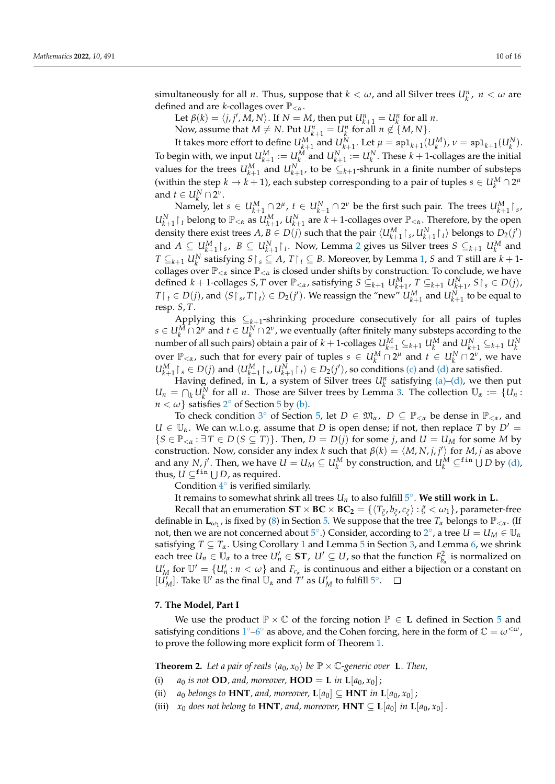simultaneously for all *n*. Thus, suppose that  $k < \omega$ , and all Silver trees  $U_k^n$ ,  $n < \omega$  are defined and are *<sup>k</sup>*-collages over P<*<sup>α</sup>* .

Let  $\beta(k) = \langle j, j', M, N \rangle$ . If  $N = M$ , then put  $U_{k+1}^n = U_k^n$  for all *n*.

Now, assume that  $M \neq N$ . Put  $U_{k+1}^n = U_k^n$  for all  $n \notin \{M, N\}$ .

It takes more effort to define  $U_{k+1}^M$  and  $U_{k+1}^N$ . Let  $\mu = \text{spl}_{k+1}(U_k^M)$ ,  $\nu = \text{spl}_{k+1}(U_k^N)$ . To begin with, we input  $U_{k+1}^M := U_k^M$  and  $U_{k+1}^N := U_k^N$ . These  $k+1$ -collages are the initial values for the trees  $U_{k+1}^M$  and  $U_{k+1}^N$ , to be  $C_{k+1}$ -shrunk in a finite number of substeps (within the step  $k \to k + 1$ ), each substep corresponding to a pair of tuples  $s \in U_k^M \cap 2^\mu$ and  $t \in U_k^N \cap 2^\nu$ .

 $\mu \in \mathcal{U}_k^M$   $\mu \in \mathcal{U}_{k+1}^M \cap 2^{\mu}$ ,  $t \in \mathcal{U}_{k+1}^N \cap 2^{\nu}$  be the first such pair. The trees  $\mathcal{U}_{k+1}^M \upharpoonright s$ ,  $U_{k+1}^N\restriction_t$  belong to  $\mathbb{P}_{<\alpha}$  as  $U_{k+1}^M$ ,  $U_{k+1}^N$  are  $k+1$ -collages over  $\mathbb{P}_{<\alpha}$ . Therefore, by the open density there exist trees  $A, B \in D(j)$  such that the pair  $\langle U_{k+1}^M \upharpoonright_s, U_{k+1}^N \upharpoonright_t \rangle$  belongs to  $D_2(j')$ and  $A \subseteq U_{k+1}^M \upharpoonright_s$ ,  $B \subseteq U_{k+1}^N \upharpoonright_t$ . Now, Lemma [2](#page-3-2) gives us Silver trees  $S \subseteq_{k+1} U_k^M$  and *T* ⊆<sub>*k*+1</sub> *U*<sup>*N*</sup><sub>*k*</sub> satisfying *S*  $\restriction$ <sub>*s*</sub> ⊆ *A*, *T*  $\restriction$ <sub>*t*</sub> ⊆ *B*. Moreover, by Lemma [1,](#page-0-1) *S* and *T* still are *k* + 1collages over  $\mathbb{P}_{< \alpha}$  since  $\mathbb{P}_{< \alpha}$  is closed under shifts by construction. To conclude, we have defined  $k + 1$ -collages  $S, T$  over  $\mathbb{P}_{< \alpha}$ , satisfying  $S \subseteq_{k+1} U_{k+1}^M$ ,  $T \subseteq_{k+1} U_{k+1}^N$ ,  $S \upharpoonright_s \in D(j)$ ,  $T\upharpoonright_t E D(j)$ , and  $\langle S\upharpoonright_s, T\upharpoonright_t \rangle E D_2(j')$ . We reassign the "new"  $U_{k+1}^M$  and  $U_{k+1}^N$  to be equal to resp. *S*, *T*.

Applying this ⊆*k*+<sup>1</sup> -shrinking procedure consecutively for all pairs of tuples  $s \in U_k^M \cap 2^\mu$  and  $t \in U_k^N \cap 2^\nu$  , we eventually (after finitely many substeps according to the number of all such pairs) obtain a pair of  $k + 1$ -collages  $U_{k+1}^M \subseteq_{k+1} U_k^M$  and  $U_{k+1}^N \subseteq_{k+1} U_k^N$ <br>over  $\mathbb{P}_{\leq \alpha}$ , such that for every pair of tuples  $s \in U_k^M \cap 2^{\mu}$  and  $t \in U_k^N \cap 2^{\nu}$ , we have  $U_{k+1}^M \upharpoonright_s \in D(j)$  and  $\langle U_{k+1}^M \upharpoonright_s, U_{k+1}^N \upharpoonright_t \rangle \in D_2(j')$ , so conditions [\(c\)](#page-8-6) and [\(d\)](#page-8-4) are satisfied.

Having defined, in **L**, a system of Silver trees  $U_k^n$  satisfying [\(a\)–](#page-8-3)[\(d\),](#page-8-4) we then put  $U_n = \bigcap_k U_k^N$  for all *n*. Those are Silver trees by Lemma [3.](#page-3-1) The collection  $U_\alpha := \{U_n :$  $n < \omega$ } satisfies [2](#page-7-2)° of Section [5](#page-6-0) by [\(b\).](#page-8-5)

To check condition [3](#page-7-4)<sup>°</sup> of Section [5,](#page-6-0) let  $D \in \mathfrak{M}_{\alpha}$ ,  $D \subseteq \mathbb{P}_{<\alpha}$  be dense in  $\mathbb{P}_{<\alpha}$ , and  $U \in \mathbb{U}_{\alpha}$ . We can w.l.o.g. assume that *D* is open dense; if not, then replace *T* by  $D' =$  ${S \in \mathbb{P}_{< \alpha} : \exists T \in D (S \subseteq T)}$ . Then,  $D = D(j)$  for some *j*, and  $U = U_M$  for some *M* by construction. Now, consider any index *k* such that  $\beta(k) = \langle M, N, j, j' \rangle$  for *M*, *j* as above and any *N*, *j'*. Then, we have  $U = U_M \subseteq U_k^M$  by construction, and  $U_k^M \subseteq$ <sup>fin</sup>  $\bigcup D$  by [\(d\),](#page-8-4) thus,  $U \subseteq^{\texttt{fin}} \bigcup D$ , as required.

Condition  $4^\circ$  $4^\circ$  is verified similarly.

It remains to somewhat shrink all trees  $U_n$  to also fulfill  $5^\circ$  $5^\circ$ . We still work in L.

Recall that an enumeration  $ST \times BC \times BC_2 = \{\langle T_{\xi}, b_{\xi}, c_{\xi}\rangle : \xi < \omega_1\}$ , parameter-free definable in  $\mathbf{L}_{\omega_1}$ , is fixed by [\(8\)](#page-7-10) in Section [5.](#page-6-0) We suppose that the tree  $T_\alpha$  belongs to  $\mathbb{P}_{<\alpha}$ . (If not, then we are not concerned about [5](#page-7-6)°.) Consider, according to [2](#page-7-2)°, a tree  $U = U_M \in U_a$ satisfying  $T \subseteq T_\alpha$ . Using Corollary [1](#page-4-5) and Lemma [5](#page-4-6) in Section [3,](#page-3-3) and Lemma [6,](#page-5-0) we shrink each tree  $U_n \in U_\alpha$  to a tree  $U'_n \in ST$ ,  $U' \subseteq U$ , so that the function  $F^2_{b_\alpha}$  is normalized on  $U'_M$  for  $\mathbb{U}' = \{U'_n : n < \omega\}$  and  $F_{c_\alpha}$  is continuous and either a bijection or a constant on  $[\hat{U}'_M]$ . Take  $\mathbb{U}'$  as the final  $\mathbb{U}_\alpha$  and  $\hat{T}'$  as  $U'_M$  to fulfill  $5^\circ$  $5^\circ$ .

## **7. The Model, Part I**

We use the product  $\mathbb{P} \times \mathbb{C}$  of the forcing notion  $\mathbb{P} \in L$  defined in Section [5](#page-6-0) and satisfying conditions  $1^{\circ}$  $1^{\circ}$  [–6](#page-7-1)<sup> $\circ$ </sup> as above, and the Cohen forcing, here in the form of  $\mathbb{C} = \omega^{<\omega}$ , to prove the following more explicit form of Theorem [1.](#page-1-0)

<span id="page-9-1"></span>**Theorem 2.** Let a pair of reals  $\langle a_0, x_0 \rangle$  be  $\mathbb{P} \times \mathbb{C}$ -generic over **L**. Then,

- <span id="page-9-0"></span>(i) *a*<sub>0</sub> *is not* **OD***, and, moreover*, **HOD** = **L** *in* **L**[ $a_0, x_0$ ];
- <span id="page-9-2"></span>(ii) *a*<sub>0</sub> *belongs to* **HNT***, and, moreover*,  $\mathbf{L}[a_0] \subseteq \mathbf{HNT}$  *in*  $\mathbf{L}[a_0, x_0]$ ;
- <span id="page-9-3"></span>(iii) *x*<sup>0</sup> *does not belong to* **HNT***, and, moreover,* **HNT**  $\subseteq$  **L**[*a*<sup>0</sup>] *in* **L**[*a*<sup>0</sup>, *x*<sup>0</sup>] .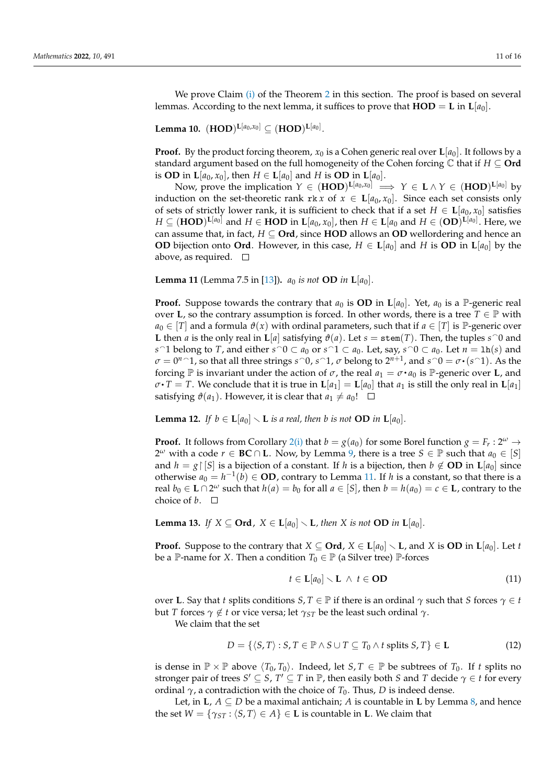We prove Claim [\(i\)](#page-9-0) of the Theorem [2](#page-9-1) in this section. The proof is based on several lemmas. According to the next lemma, it suffices to prove that  $\text{HOD} = \text{L}$  in  $\text{L}[a_0]$ .

<span id="page-10-4"></span> ${\bf Lemma ~10.}~~({\bf HOD})^{{\bf L}[a_0, x_0]} \subseteq ({\bf HOD})^{{\bf L}[a_0]}.$ 

**Proof.** By the product forcing theorem,  $x_0$  is a Cohen generic real over  $\mathbf{L}[a_0]$ . It follows by a standard argument based on the full homogeneity of the Cohen forcing C that if *H* ⊆ **Ord** is **OD** in  $L[a_0, x_0]$ , then  $H \in L[a_0]$  and  $H$  is **OD** in  $L[a_0]$ .

Now, prove the implication  $Y \in (HOD)^{\mathbf{L}[a_0,x_0]} \implies Y \in \mathbf{L} \wedge Y \in (HOD)^{\mathbf{L}[a_0]}$  by induction on the set-theoretic rank rk *x* of  $x \in L[a_0, x_0]$ . Since each set consists only of sets of strictly lower rank, it is sufficient to check that if a set  $H \in L[a_0, x_0]$  satisfies  $H\subseteq (\textbf{HOD})^{\textbf{L}[a_0]}$  and  $H\in \textbf{HOD}$  in  $\textbf{L}[a_0,x_0]$ , then  $H\in \textbf{L}[a_0$  and  $H\in (\textbf{OD})^{\textbf{L}[a_0]}$ . Here, we can assume that, in fact,  $H \subseteq \textbf{Ord}$ , since HOD allows an OD wellordering and hence an **OD** bijection onto **Ord**. However, in this case,  $H \in L[a_0]$  and H is **OD** in  $L[a_0]$  by the above, as required.  $\square$ 

<span id="page-10-0"></span>**Lemma 11** (Lemma 7.5 in [\[13\]](#page-14-11))**.** *a*<sup>0</sup> *is not* **OD** *in* **L**[*a*0]*.*

**Proof.** Suppose towards the contrary that  $a_0$  is **OD** in  $\mathbf{L}[a_0]$ . Yet,  $a_0$  is a P-generic real over **L**, so the contrary assumption is forced. In other words, there is a tree  $T \in \mathbb{P}$  with  $a_0 \in [T]$  and a formula  $\vartheta(x)$  with ordinal parameters, such that if  $a \in [T]$  is P-generic over **L** then *a* is the only real in **L**[*a*] satisfying  $\vartheta$ (*a*). Let *s* = stem(*T*). Then, the tuples *s* 0 and *s*  $\cap$  1 belong to *T*, and either *s* $\cap$ 0 ⊂ *a*<sub>0</sub> or *s* $\cap$ 1 ⊂ *a*<sub>0</sub>. Let, say, *s* $\cap$ 0 ⊂ *a*<sub>0</sub>. Let *n* = 1h(*s*) and  $\sigma = 0^n$  <sup>2</sup>, so that all three strings *s* <sup>2</sup>0, *s*<sup>2</sup>1, *σ* belong to  $2^{n+1}$ , and *s*<sup>2</sup>0 =  $\sigma \cdot (s$ <sup>2</sup>1). As the forcing  $\mathbb P$  is invariant under the action of  $\sigma$ , the real  $a_1 = \sigma \cdot a_0$  is  $\mathbb P$ -generic over **L**, and  $\sigma \cdot T = T$ . We conclude that it is true in  $\mathbf{L}[a_1] = \mathbf{L}[a_0]$  that  $a_1$  is still the only real in  $\mathbf{L}[a_1]$ satisfying  $\vartheta(a_1)$ . However, it is clear that  $a_1 \neq a_0!$   $\Box$ 

<span id="page-10-2"></span>**Lemma 12.** *If*  $b \in L[a_0] \setminus L$  *is a real, then b is not* **OD** *in*  $L[a_0]$ *.* 

**Proof.** It follows from Corollary [2](#page-0-1)[\(i\)](#page-7-8) that  $b = g(a_0)$  for some Borel function  $g = F_r : 2^{\omega} \rightarrow$ 2<sup>ω</sup> with a code  $r \in BC \cap L$ . Now, by Lemma [9,](#page-8-7) there is a tree  $S \in \mathbb{P}$  such that  $a_0 \in [S]$ and  $h = g \mid [S]$  is a bijection of a constant. If *h* is a bijection, then  $b \notin OD$  in  $\mathbf{L}[a_0]$  since otherwise  $a_0 = h^{-1}(b) \in$  **OD**, contrary to Lemma [11.](#page-10-0) If *h* is a constant, so that there is a real  $b_0 \in L \cap 2^{\omega}$  such that  $h(a) = b_0$  for all  $a \in [S]$ , then  $b = h(a_0) = c \in L$ , contrary to the choice of  $b$ .  $\Box$ 

<span id="page-10-3"></span>**Lemma 13.** *If*  $X \subseteq \textbf{Ord}$ ,  $X \in \textbf{L}[a_0] \setminus \textbf{L}$ , then X is not **OD** *in*  $\textbf{L}[a_0]$ *.* 

**Proof.** Suppose to the contrary that  $X \subseteq \textbf{Ord}$ ,  $X \in \textbf{L}[a_0] \setminus \textbf{L}$ , and *X* is **OD** in  $\textbf{L}[a_0]$ . Let *t* be a P-name for *X*. Then a condition  $T_0 \in \mathbb{P}$  (a Silver tree) P-forces

$$
t \in \mathbf{L}[a_0] \setminus \mathbf{L} \ \wedge \ t \in \mathbf{OD} \tag{11}
$$

over **L**. Say that *t* splits conditions  $S, T \in \mathbb{P}$  if there is an ordinal  $\gamma$  such that *S* forces  $\gamma \in t$ but *T* forces  $\gamma \notin t$  or vice versa; let  $\gamma_{ST}$  be the least such ordinal  $\gamma$ .

We claim that the set

$$
D = \{ \langle S, T \rangle : S, T \in \mathbb{P} \land S \cup T \subseteq T_0 \land t \text{ splits } S, T \} \in \mathbf{L}
$$
\n
$$
(12)
$$

is dense in  $\mathbb{P} \times \mathbb{P}$  above  $\langle T_0, T_0 \rangle$ . Indeed, let *S*, *T*  $\in \mathbb{P}$  be subtrees of *T*<sub>0</sub>. If *t* splits no stronger pair of trees  $S' \subseteq S$ ,  $T' \subseteq T$  in  $\mathbb{P}$ , then easily both *S* and *T* decide  $\gamma \in t$  for every ordinal  $\gamma$ , a contradiction with the choice of  $T_0$ . Thus, *D* is indeed dense.

<span id="page-10-1"></span>Let, in **L**,  $A \subseteq D$  be a maximal antichain; A is countable in **L** by Lemma [8,](#page-7-9) and hence the set  $W = \{\gamma_{ST} : \langle S, T \rangle \in A\} \in L$  is countable in L. We claim that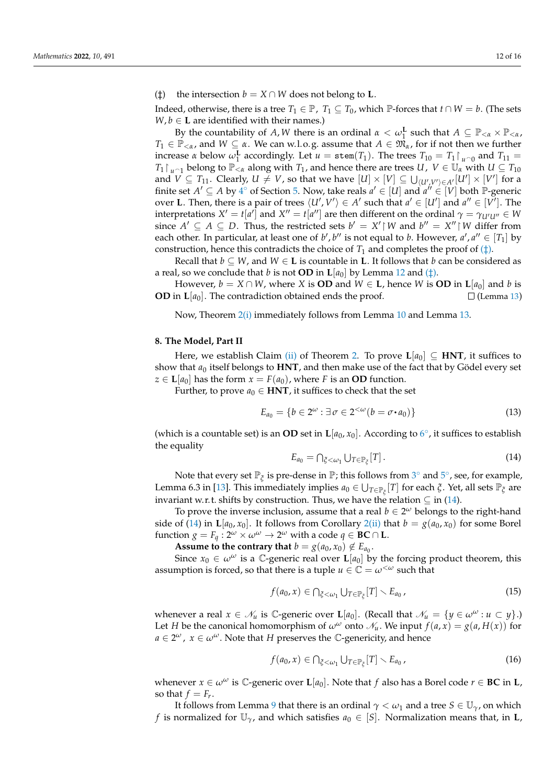( $\uparrow$ ) the intersection *b* = *X*  $\cap$  *W* does not belong to **L**.

Indeed, otherwise, there is a tree  $T_1 \in \mathbb{P}$ ,  $T_1 \subseteq T_0$ , which  $\mathbb{P}$ -forces that  $t \cap W = b$ . (The sets  $W, b \in L$  are identified with their names.)

By the countability of *A*, *W* there is an ordinal  $\alpha < \omega_1^{\mathbf{L}}$  such that  $A \subseteq \mathbb{P}_{<\alpha} \times \mathbb{P}_{<\alpha}$ ,  $T_1 \in \mathbb{P}_{\leq \alpha}$ , and  $W \subseteq \alpha$ . We can w.l.o.g. assume that  $A \in \mathfrak{M}_{\alpha}$ , for if not then we further increase *α* below  $\omega_1^{\mathbf{L}}$  accordingly. Let  $u = \text{stem}(T_1)$ . The trees  $T_{10} = T_1 \upharpoonright u \cap 0$  and  $T_{11} =$  $T_1 \upharpoonright_{u \cap 1}$  belong to  $\mathbb{P}_{< \alpha}$  along with  $T_1$ , and hence there are trees *U*,  $V \in \mathbb{U}_\alpha$  with  $U \subseteq T_{10}$ and  $\stackrel{\sim}{V}\subseteq T_{11}.$  Clearly,  $U\neq V$ , so that we have  $[U]\times [V]\subseteq \bigcup_{\langle U',V'\rangle\in A'}[U']\times [V']$  for a finite set  $A' \subseteq A$  by  $4^{\circ}$  $4^{\circ}$  of Section [5.](#page-6-0) Now, take reals  $a' \in [U]$  and  $a'' \in [V]$  both P-generic over **L**. Then, there is a pair of trees  $\langle U', V' \rangle \in A'$  such that  $a' \in [U']$  and  $a'' \in [V']$ . The interpretations  $X' = t[a']$  and  $X'' = t[a'']$  are then different on the ordinal  $\gamma = \gamma_{U'U''} \in W$ since  $A' \subseteq A \subseteq D$ . Thus, the restricted sets  $b' = X' \upharpoonright W$  and  $b'' = X'' \upharpoonright W$  differ from each other. In particular, at least one of  $b'$ ,  $b''$  is not equal to *b*. However,  $a'$ ,  $a'' \in [T_1]$  by construction, hence this contradicts the choice of  $T_1$  and completes the proof of  $(\ddagger)$ .

Recall that  $b \subseteq W$ , and  $W \in L$  is countable in L. It follows that *b* can be considered as a real, so we conclude that *b* is not **OD** in  $\mathbf{L}[a_0]$  by Lemma [12](#page-10-2) and ( $\ddagger$ ).

However,  $b = X \cap W$ , where *X* is **OD** and  $W \in L$ , hence *W* is **OD** in  $L[a_0]$  and *b* is **OD** in  $\mathbf{L}[a_0]$ . The contradiction obtained ends the proof.  $\square$  (Lemma [13](#page-10-3))

Now, Theorem [2](#page-9-1)[\(i\)](#page-9-0) immediately follows from Lemma [10](#page-10-4) and Lemma [13.](#page-10-3)

## <span id="page-11-0"></span>**8. The Model, Part II**

Here, we establish Claim [\(ii\)](#page-9-2) of Theorem [2.](#page-9-1) To prove  $L[a_0] \subseteq HNT$ , it suffices to show that  $a_0$  itself belongs to **HNT**, and then make use of the fact that by Gödel every set *z* ∈ **L**[ $a_0$ ] has the form *x* = *F*( $a_0$ ), where *F* is an **OD** function.

Further, to prove  $a_0 \in HNT$ , it suffices to check that the set

$$
E_{a_0} = \{b \in 2^{\omega} : \exists \sigma \in 2^{<\omega}(b = \sigma \cdot a_0)\}\tag{13}
$$

(which is a countable set) is an **OD** set in  $\mathbf{L}[a_0, x_0]$ . According to  $6^\circ$  $6^\circ$ , it suffices to establish the equality

<span id="page-11-1"></span>
$$
E_{a_0} = \bigcap_{\xi < \omega_1} \bigcup_{T \in \mathbb{P}_{\xi}} [T]. \tag{14}
$$

Note that every set  $\mathbb{P}_{\xi}$  is pre-dense in  $\mathbb{P}$ ; this follows from [3](#page-7-4) $^{\circ}$  and [5](#page-7-6) $^{\circ}$ , see, for example, Lemma 6.3 in [\[13\]](#page-14-11). This immediately implies  $a_0 \in \bigcup_{T \in \mathbb{P}_\xi}[T]$  for each  $\xi$ . Yet, all sets  $\mathbb{P}_\xi$  are invariant w.r. t. shifts by construction. Thus, we have the relation  $\subseteq$  in [\(14\)](#page-11-1).

To prove the inverse inclusion, assume that a real  $b \in 2^{\omega}$  belongs to the right-hand side of [\(14\)](#page-11-1) in  $\mathbf{L}[a_0, x_0]$ . It follows from Corollary [2](#page-0-1)[\(ii\)](#page-8-2) that  $b = g(a_0, x_0)$  for some Borel  $f$ unction  $g = F_q : 2^{\omega} \times \omega^{\omega} \to 2^{\omega}$  with a code  $q \in BC \cap L$ .

**Assume to the contrary that**  $b = g(a_0, x_0) \notin E_{a_0}$ .

Since  $x_0 \in \omega^\omega$  is a C-generic real over  $\mathbf{L}[a_0]$  by the forcing product theorem, this assumption is forced, so that there is a tuple  $u \in \mathbb{C} = \omega^{\lt \omega}$  such that

$$
f(a_0, x) \in \bigcap_{\xi < \omega_1} \bigcup_{T \in \mathbb{P}_{\xi}} [T] \setminus E_{a_0},\tag{15}
$$

whenever a real  $x \in \mathcal{N}_u$  is  $\mathbb{C}$ -generic over  $\mathbf{L}[a_0]$ . (Recall that  $\mathcal{N}_u = \{y \in \omega^\omega : u \subset y\}$ .) Let *H* be the canonical homomorphism of  $\omega^{\omega}$  onto  $\mathcal{N}_u$ . We input  $f(a, x) = g(a, H(x))$  for  $a \in 2^{\omega}$ ,  $x \in \omega^{\omega}$ . Note that *H* preserves the *C*-genericity, and hence

<span id="page-11-2"></span>
$$
f(a_0, x) \in \bigcap_{\xi < \omega_1} \bigcup_{T \in \mathbb{P}_{\xi}} [T] \setminus E_{a_0},\tag{16}
$$

whenever  $x \in \omega^{\omega}$  is  $\mathbb{C}$ -generic over  $\mathbf{L}[a_0]$ . Note that *f* also has a Borel code  $r \in BC$  in **L**, so that  $f = F_r$ .

It follows from Lemma [9](#page-8-7) that there is an ordinal  $\gamma < \omega_1$  and a tree  $S \in \mathbb{U}_{\gamma}$ , on which *f* is normalized for  $\mathbb{U}_{\gamma}$ , and which satisfies  $a_0 \in [S]$ . Normalization means that, in **L**,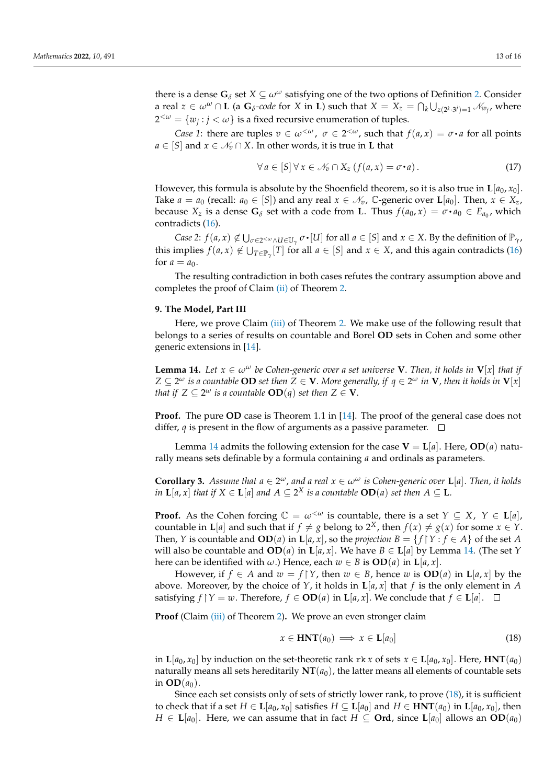there is a dense  $\mathbf{G}_{\delta}$  set  $X \subseteq \omega^{\omega}$  satisfying one of the two options of Definition [2.](#page-4-4) Consider a real  $z \in \omega^\omega \cap L$  (a  $G_\delta$ *-code* for  $X$  in  $L$ ) such that  $X = X_z = \bigcap_k \bigcup_{z(2^k \cdot 3^j) = 1} \mathscr{N}_{w_j}$ , where  $2^{<\omega} = \{w_j : j < \omega\}$  is a fixed recursive enumeration of tuples.

*Case 1*: there are tuples  $v \in \omega^{\langle \omega \rangle}$ ,  $\sigma \in 2^{\langle \omega \rangle}$ , such that  $f(a, x) = \sigma \cdot a$  for all points *a* ∈ [*S*] and *x* ∈  $N_v$  ∩ *X*. In other words, it is true in **L** that

$$
\forall a \in [S] \forall x \in \mathcal{N}_v \cap X_z \ (f(a, x) = \sigma \cdot a). \tag{17}
$$

However, this formula is absolute by the Shoenfield theorem, so it is also true in  $\mathbf{L}[a_0, x_0]$ . Take  $a = a_0$  (recall:  $a_0 \in [S]$ ) and any real  $x \in \mathcal{N}_v$ , C-generic over  $\mathbf{L}[a_0]$ . Then,  $x \in X_z$ , because  $X_z$  is a dense  $G_\delta$  set with a code from **L**. Thus  $f(a_0, x) = \sigma \cdot a_0 \in E_{a_0}$ , which contradicts [\(16\)](#page-11-2).

*Case 2*:  $f(a, x) \notin \bigcup_{\sigma \in 2 \le \omega \wedge U \in \mathbb{U}_\gamma} \sigma \cdot [U]$  for all  $a \in [S]$  and  $x \in X$ . By the definition of  $\mathbb{P}_\gamma$ ,  $\ddot{\phantom{0}}$ this implies  $f(a, x) \notin \bigcup_{T \in \mathbb{P}_\gamma}[T]$  for all  $a \in [S]$  and  $x \in X$ , and this again contradicts [\(16\)](#page-11-2) for  $a = a_0$ .

The resulting contradiction in both cases refutes the contrary assumption above and completes the proof of Claim [\(ii\)](#page-9-2) of Theorem [2.](#page-9-1)

## <span id="page-12-0"></span>**9. The Model, Part III**

Here, we prove Claim [\(iii\)](#page-9-3) of Theorem [2.](#page-9-1) We make use of the following result that belongs to a series of results on countable and Borel **OD** sets in Cohen and some other generic extensions in [\[14\]](#page-14-12).

<span id="page-12-1"></span>**Lemma 14.** *Let*  $x \in \omega^{\omega}$  *be Cohen-generic over a set universe* **V**. *Then, it holds in*  $V[x]$  *that if*  $Z \subseteq 2^\omega$  *is a countable*  $\bf{OD}$  *set then*  $Z \in \bf{V}.$  *More generally, if*  $q \in 2^\omega$  *in*  $\bf{V}$  *, then it holds in*  $\bf{V}[x]$ *that if*  $Z \subseteq 2^\omega$  *is a countable*  $\mathbf{OD}(q)$  *set then*  $Z \in \mathbf{V}$ *.* 

**Proof.** The pure **OD** case is Theorem 1.1 in [\[14\]](#page-14-12). The proof of the general case does not differ, *q* is present in the flow of arguments as a passive parameter.  $\Box$ 

Lemma [14](#page-12-1) admits the following extension for the case  $V = L[a]$ . Here,  $OD(a)$  naturally means sets definable by a formula containing *a* and ordinals as parameters.

<span id="page-12-3"></span>**Corollary 3.** Assume that  $a \in 2^\omega$ , and a real  $x \in \omega^\omega$  is Cohen-generic over **L**[a]. Then, it holds *in*  $\mathbf{L}[a, x]$  *that if*  $X \in \mathbf{L}[a]$  *and*  $A \subseteq 2^X$  *is a countable*  $\mathbf{OD}(a)$  *set then*  $A \subseteq \mathbf{L}$ *.* 

**Proof.** As the Cohen forcing  $\mathbb{C} = \omega^{\langle \omega \rangle}$  is countable, there is a set  $Y \subseteq X$ ,  $Y \in L[a]$ , countable in **L**[*a*] and such that if  $f \neq g$  belong to  $2^X$ , then  $f(x) \neq g(x)$  for some  $x \in Y$ . Then, *Y* is countable and **OD**(*a*) in **L**[*a*, *x*], so the *projection*  $B = \{f | Y : f \in A\}$  of the set *A* will also be countable and  $OD(a)$  in  $L[a, x]$ . We have  $B \in L[a]$  by Lemma [14.](#page-12-1) (The set *Y* here can be identified with  $\omega$ .) Hence, each  $w \in B$  is  $OD(a)$  in  $L[a, x]$ .

However, if  $f \in A$  and  $w = f \upharpoonright Y$ , then  $w \in B$ , hence  $w$  is  $OD(a)$  in  $L[a, x]$  by the above. Moreover, by the choice of  $Y$ , it holds in  $\mathbf{L}[a, x]$  that  $f$  is the only element in  $A$ satisfying  $f \upharpoonright Y = w$ . Therefore,  $f \in OD(a)$  in  $L[a, x]$ . We conclude that  $f \in L[a]$ .  $\square$ 

**Proof** (Claim [\(iii\)](#page-9-3) of Theorem [2\)](#page-9-1). We prove an even stronger claim

<span id="page-12-2"></span>
$$
x \in \text{HNT}(a_0) \implies x \in \text{L}[a_0] \tag{18}
$$

in  $\mathbf{L}[a_0, x_0]$  by induction on the set-theoretic rank rk *x* of sets  $x \in \mathbf{L}[a_0, x_0]$ . Here,  $\text{HNT}(a_0)$ naturally means all sets hereditarily  $NT(a_0)$ , the latter means all elements of countable sets in  $OD(a_0)$ .

Since each set consists only of sets of strictly lower rank, to prove [\(18\)](#page-12-2), it is sufficient to check that if a set *H* ∈ **L**[*a*<sub>0</sub>, *x*<sub>0</sub>] satisfies *H* ⊆ **L**[*a*<sub>0</sub>] and *H* ∈ **HNT**(*a*<sub>0</sub>) in **L**[*a*<sub>0</sub>, *x*<sub>0</sub>], then *H* ∈ **L**[*a*<sub>0</sub>]. Here, we can assume that in fact *H* ⊆ **Ord**, since **L**[*a*<sub>0</sub>] allows an **OD**(*a*<sub>0</sub>)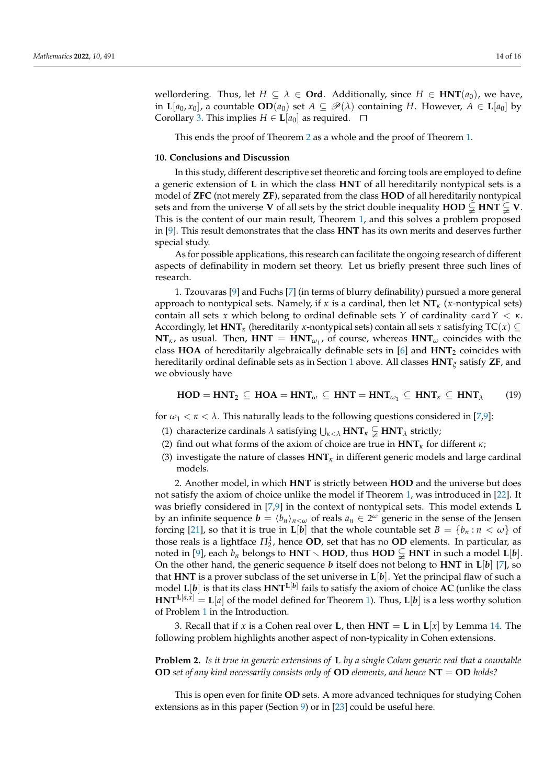wellordering. Thus, let  $H \subseteq \lambda \in \mathbf{Ord}$ . Additionally, since  $H \in \mathbf{HNT}(a_0)$ , we have, in  $\mathbf{L}[a_0, x_0]$ , a countable  $OD(a_0)$  set  $A \subseteq \mathcal{P}(\lambda)$  containing *H*. However,  $A \in \mathbf{L}[a_0]$  by Corollary [3.](#page-12-3) This implies  $H \in L[a_0]$  as required.  $\Box$ 

This ends the proof of Theorem [2](#page-9-1) as a whole and the proof of Theorem [1.](#page-1-0)

#### **10. Conclusions and Discussion**

In this study, different descriptive set theoretic and forcing tools are employed to define a generic extension of **L** in which the class **HNT** of all hereditarily nontypical sets is a model of **ZFC** (not merely **ZF**), separated from the class **HOD** of all hereditarily nontypical sets and from the universe **V** of all sets by the strict double inequality **HOD**  $\subsetneq$  **HNT**  $\subsetneq$  **V**. This is the content of our main result, Theorem [1,](#page-1-0) and this solves a problem proposed in [\[9\]](#page-14-7). This result demonstrates that the class **HNT** has its own merits and deserves further special study.

As for possible applications, this research can facilitate the ongoing research of different aspects of definability in modern set theory. Let us briefly present three such lines of research.

1. Tzouvaras [\[9\]](#page-14-7) and Fuchs [\[7\]](#page-14-5) (in terms of blurry definability) pursued a more general approach to nontypical sets. Namely, if *κ* is a cardinal, then let **NT***<sup>κ</sup>* (*κ*-nontypical sets) contain all sets *x* which belong to ordinal definable sets *Y* of cardinality card  $Y < \kappa$ . Accordingly, let **HNT***<sup>κ</sup>* (hereditarily *κ*-nontypical sets) contain all sets *x* satisfying TC(*x*) ⊆  $NT_{\kappa}$ , as usual. Then,  $HNT = HNT_{\omega_1}$ , of course, whereas  $HNT_{\omega}$  coincides with the class **HOA** of hereditarily algebraically definable sets in [\[6\]](#page-14-4) and **HNT**<sup>2</sup> coincides with hereditarily ordinal definable sets as in Section [1](#page-0-2) above. All classes **HNT***<sup>ξ</sup>* satisfy **ZF**, and we obviously have

$$
\text{HOD} = \text{HNT}_2 \subseteq \text{HOA} = \text{HNT}_\omega \subseteq \text{HNT} = \text{HNT}_{\omega_1} \subseteq \text{HNT}_\kappa \subseteq \text{HNT}_\lambda \tag{19}
$$

for  $\omega_1 < \kappa < \lambda$ . This naturally leads to the following questions considered in [\[7](#page-14-5)[,9\]](#page-14-7):

- (1) characterize cardinals  $\lambda$  satisfying  $\bigcup_{\kappa < \lambda} HNT_{\kappa} \subsetneq HNT_{\lambda}$  strictly;
- (2) find out what forms of the axiom of choice are true in **HNT***<sup>κ</sup>* for different *κ*;
- (3) investigate the nature of classes **HNT***<sup>κ</sup>* in different generic models and large cardinal models.

2. Another model, in which **HNT** is strictly between **HOD** and the universe but does not satisfy the axiom of choice unlike the model if Theorem [1,](#page-1-0) was introduced in [\[22\]](#page-15-1). It was briefly considered in [\[7,](#page-14-5)[9\]](#page-14-7) in the context of nontypical sets. This model extends **L** by an infinite sequence  $b = \langle b_n \rangle_{n < \omega}$  of reals  $a_n \in 2^\omega$  generic in the sense of the Jensen forcing [\[21\]](#page-15-0), so that it is true in **L**[*b*] that the whole countable set  $B = \{b_n : n < \omega\}$  of those reals is a lightface  $\Pi_2^1$ , hence **OD**, set that has no **OD** elements. In particular, as noted in [\[9\]](#page-14-7), each  $b_n$  belongs to **HNT**  $\setminus$  **HOD**, thus **HOD**  $\subsetneq$  **HNT** in such a model **L**[*b*]. On the other hand, the generic sequence *b* itself does not belong to **HNT** in **L**[*b*] [\[7\]](#page-14-5), so that **HNT** is a prover subclass of the set universe in **L**[*b*]. Yet the principal flaw of such a model **L**[*b*] is that its class **HNTL**[*b*] fails to satisfy the axiom of choice **AC** (unlike the class  $HNT^{L[a,x]} = L[a]$  of the model defined for Theorem [1\)](#page-1-0). Thus,  $L[b]$  is a less worthy solution of Problem [1](#page-1-1) in the Introduction.

3. Recall that if *x* is a Cohen real over **L**, then **HNT** = **L** in  $L[x]$  by Lemma [14.](#page-12-1) The following problem highlights another aspect of non-typicality in Cohen extensions.

**Problem 2.** *Is it true in generic extensions of* **L** *by a single Cohen generic real that a countable* **OD** *set of any kind necessarily consists only of* **OD** *elements, and hence* **NT** = **OD** *holds?*

This is open even for finite **OD** sets. A more advanced techniques for studying Cohen extensions as in this paper (Section [9\)](#page-12-0) or in [\[23\]](#page-15-2) could be useful here.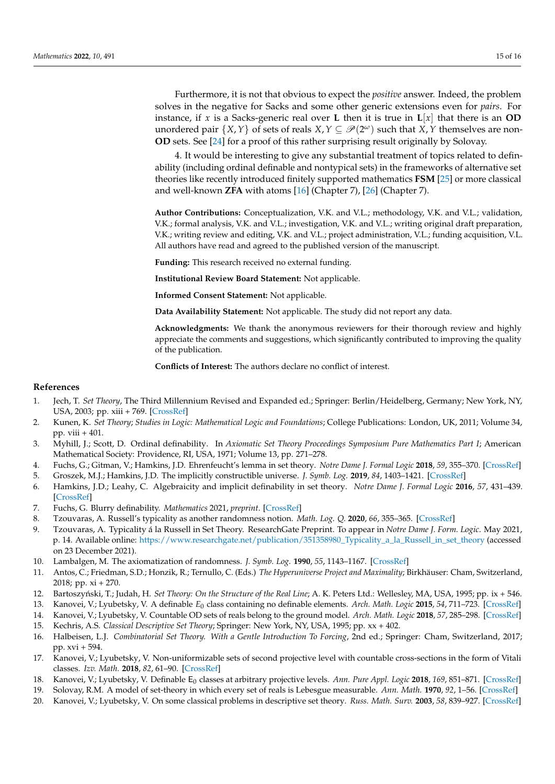Furthermore, it is not that obvious to expect the *positive* answer. Indeed, the problem solves in the negative for Sacks and some other generic extensions even for *pairs*. For instance, if *x* is a Sacks-generic real over **L** then it is true in  $\mathbf{L}[x]$  that there is an **OD** unordered pair  $\{X, Y\}$  of sets of reals  $X, Y \subseteq \mathscr{P}(2^{\omega})$  such that  $X, Y$  themselves are non-**OD** sets. See [\[24\]](#page-15-3) for a proof of this rather surprising result originally by Solovay.

4. It would be interesting to give any substantial treatment of topics related to definability (including ordinal definable and nontypical sets) in the frameworks of alternative set theories like recently introduced finitely supported mathematics **FSM** [\[25\]](#page-15-4) or more classical and well-known **ZFA** with atoms [\[16\]](#page-14-14) (Chapter 7), [\[26\]](#page-15-5) (Chapter 7).

**Author Contributions:** Conceptualization, V.K. and V.L.; methodology, V.K. and V.L.; validation, V.K.; formal analysis, V.K. and V.L.; investigation, V.K. and V.L.; writing original draft preparation, V.K.; writing review and editing, V.K. and V.L.; project administration, V.L.; funding acquisition, V.L. All authors have read and agreed to the published version of the manuscript.

**Funding:** This research received no external funding.

**Institutional Review Board Statement:** Not applicable.

**Informed Consent Statement:** Not applicable.

**Data Availability Statement:** Not applicable. The study did not report any data.

**Acknowledgments:** We thank the anonymous reviewers for their thorough review and highly appreciate the comments and suggestions, which significantly contributed to improving the quality of the publication.

**Conflicts of Interest:** The authors declare no conflict of interest.

## **References**

- <span id="page-14-0"></span>1. Jech, T. *Set Theory*, The Third Millennium Revised and Expanded ed.; Springer: Berlin/Heidelberg, Germany; New York, NY, USA, 2003; pp. xiii + 769. [\[CrossRef\]](http://doi.org/10.1007/3-540-44761-X)
- <span id="page-14-1"></span>2. Kunen, K. *Set Theory*; *Studies in Logic: Mathematical Logic and Foundations*; College Publications: London, UK, 2011; Volume 34, pp. viii  $+401$ .
- <span id="page-14-2"></span>3. Myhill, J.; Scott, D. Ordinal definability. In *Axiomatic Set Theory Proceedings Symposium Pure Mathematics Part I*; American Mathematical Society: Providence, RI, USA, 1971; Volume 13, pp. 271–278.
- <span id="page-14-3"></span>4. Fuchs, G.; Gitman, V.; Hamkins, J.D. Ehrenfeucht's lemma in set theory. *Notre Dame J. Formal Logic* **2018**, *59*, 355–370. [\[CrossRef\]](http://dx.doi.org/10.1215/00294527-2018-0007)
- 5. Groszek, M.J.; Hamkins, J.D. The implicitly constructible universe. *J. Symb. Log.* **2019**, *84*, 1403–1421. [\[CrossRef\]](http://dx.doi.org/10.1017/jsl.2018.57)
- <span id="page-14-4"></span>6. Hamkins, J.D.; Leahy, C. Algebraicity and implicit definability in set theory. *Notre Dame J. Formal Logic* **2016**, *57*, 431–439. [\[CrossRef\]](http://dx.doi.org/10.1215/00294527-3542326)
- <span id="page-14-5"></span>7. Fuchs, G. Blurry definability. *Mathematics* 2021, *preprint*. [\[CrossRef\]](http://dx.doi.org/10.3390/math10030452)
- <span id="page-14-6"></span>8. Tzouvaras, A. Russell's typicality as another randomness notion. *Math. Log. Q.* **2020**, *66*, 355–365. [\[CrossRef\]](http://dx.doi.org/10.1002/malq.202000038)
- <span id="page-14-7"></span>9. Tzouvaras, A. Typicality á la Russell in Set Theory. ResearchGate Preprint. To appear in *Notre Dame J. Form. Logic*. May 2021, p. 14. Available online: [https://www.researchgate.net/publication/351358980\\_Typicality\\_a\\_la\\_Russell\\_in\\_set\\_theory](https://www.researchgate.net/publication/351358980_Typicality_a_la_Russell_in_set_theory) (accessed on 23 December 2021).
- <span id="page-14-8"></span>10. Lambalgen, M. The axiomatization of randomness. *J. Symb. Log.* **1990**, *55*, 1143–1167. [\[CrossRef\]](http://dx.doi.org/10.2307/2274480)
- <span id="page-14-9"></span>11. Antos, C.; Friedman, S.D.; Honzik, R.; Ternullo, C. (Eds.) *The Hyperuniverse Project and Maximality*; Birkhäuser: Cham, Switzerland, 2018; pp. xi + 270.
- <span id="page-14-10"></span>12. Bartoszyński, T.; Judah, H. *Set Theory: On the Structure of the Real Line*; A. K. Peters Ltd.: Wellesley, MA, USA, 1995; pp. ix + 546.
- <span id="page-14-11"></span>13. Kanovei, V.; Lyubetsky, V. A definable *E*<sup>0</sup> class containing no definable elements. *Arch. Math. Logic* **2015**, *54*, 711–723. [\[CrossRef\]](http://dx.doi.org/10.1007/s00153-015-0436-9)
- <span id="page-14-12"></span>14. Kanovei, V.; Lyubetsky, V. Countable OD sets of reals belong to the ground model. *Arch. Math. Logic* **2018**, *57*, 285–298. [\[CrossRef\]](http://dx.doi.org/10.1007/s00153-017-0569-0)
- <span id="page-14-13"></span>15. Kechris, A.S. *Classical Descriptive Set Theory*; Springer: New York, NY, USA, 1995; pp. xx + 402.
- <span id="page-14-14"></span>16. Halbeisen, L.J. *Combinatorial Set Theory. With a Gentle Introduction To Forcing*, 2nd ed.; Springer: Cham, Switzerland, 2017; pp. xvi + 594.
- <span id="page-14-15"></span>17. Kanovei, V.; Lyubetsky, V. Non-uniformizable sets of second projective level with countable cross-sections in the form of Vitali classes. *Izv. Math.* **2018**, *82*, 61–90. [\[CrossRef\]](http://dx.doi.org/10.1070/IM8521)
- <span id="page-14-16"></span>18. Kanovei, V.; Lyubetsky, V. Definable E<sub>0</sub> classes at arbitrary projective levels. Ann. Pure Appl. Logic 2018, 169, 851–871. [\[CrossRef\]](http://dx.doi.org/10.1016/j.apal.2018.04.006)
- <span id="page-14-17"></span>19. Solovay, R.M. A model of set-theory in which every set of reals is Lebesgue measurable. *Ann. Math.* **1970**, *92*, 1–56. [\[CrossRef\]](http://dx.doi.org/10.2307/1970696)
- <span id="page-14-18"></span>20. Kanovei, V.; Lyubetsky, V. On some classical problems in descriptive set theory. *Russ. Math. Surv.* **2003**, *58*, 839–927. [\[CrossRef\]](http://dx.doi.org/10.1070/RM2003v058n05ABEH000666)